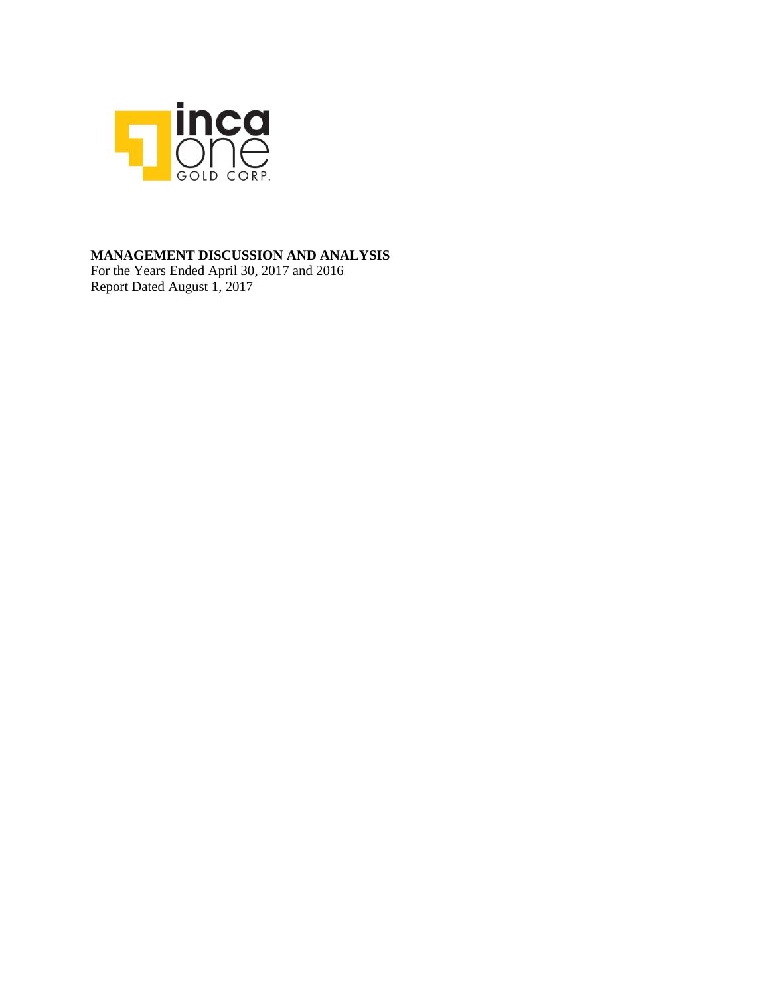

### **MANAGEMENT DISCUSSION AND ANALYSIS**

For the Years Ended April 30, 2017 and 2016 Report Dated August 1, 2017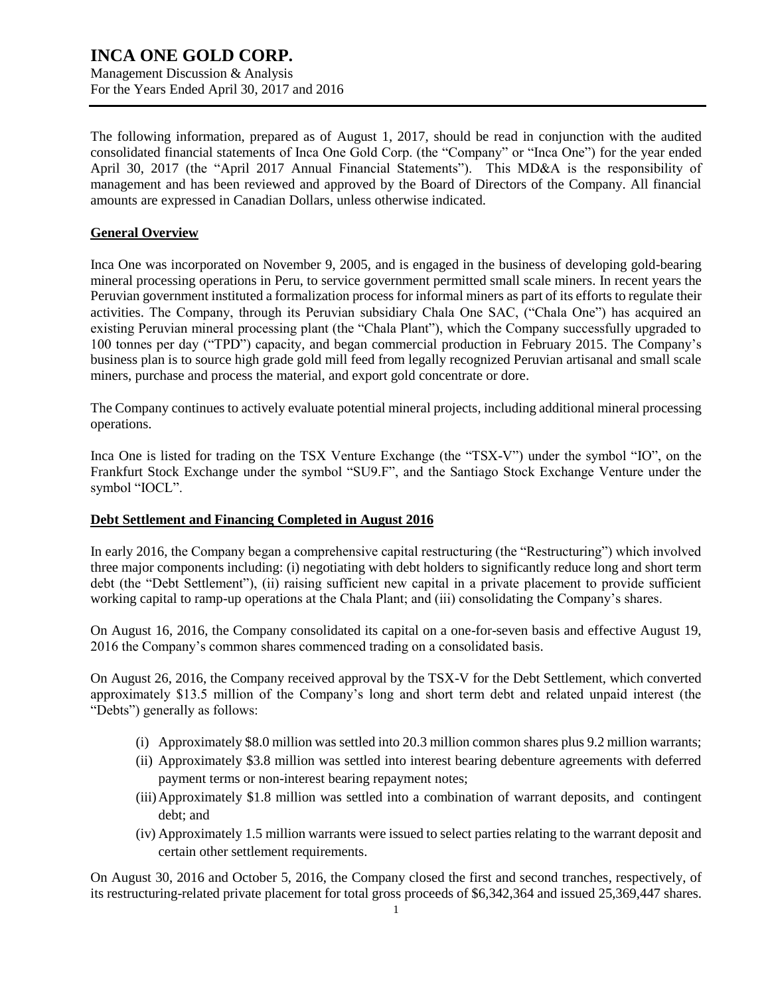Management Discussion & Analysis For the Years Ended April 30, 2017 and 2016

The following information, prepared as of August 1, 2017, should be read in conjunction with the audited consolidated financial statements of Inca One Gold Corp. (the "Company" or "Inca One") for the year ended April 30, 2017 (the "April 2017 Annual Financial Statements"). This MD&A is the responsibility of management and has been reviewed and approved by the Board of Directors of the Company. All financial amounts are expressed in Canadian Dollars, unless otherwise indicated.

### **General Overview**

Inca One was incorporated on November 9, 2005, and is engaged in the business of developing gold-bearing mineral processing operations in Peru, to service government permitted small scale miners. In recent years the Peruvian government instituted a formalization process for informal miners as part of its efforts to regulate their activities. The Company, through its Peruvian subsidiary Chala One SAC, ("Chala One") has acquired an existing Peruvian mineral processing plant (the "Chala Plant"), which the Company successfully upgraded to 100 tonnes per day ("TPD") capacity, and began commercial production in February 2015. The Company's business plan is to source high grade gold mill feed from legally recognized Peruvian artisanal and small scale miners, purchase and process the material, and export gold concentrate or dore.

The Company continues to actively evaluate potential mineral projects, including additional mineral processing operations.

Inca One is listed for trading on the TSX Venture Exchange (the "TSX-V") under the symbol "IO", on the Frankfurt Stock Exchange under the symbol "SU9.F", and the Santiago Stock Exchange Venture under the symbol "IOCL".

### **Debt Settlement and Financing Completed in August 2016**

In early 2016, the Company began a comprehensive capital restructuring (the "Restructuring") which involved three major components including: (i) negotiating with debt holders to significantly reduce long and short term debt (the "Debt Settlement"), (ii) raising sufficient new capital in a private placement to provide sufficient working capital to ramp-up operations at the Chala Plant; and (iii) consolidating the Company's shares.

On August 16, 2016, the Company consolidated its capital on a one-for-seven basis and effective August 19, 2016 the Company's common shares commenced trading on a consolidated basis.

On August 26, 2016, the Company received approval by the TSX-V for the Debt Settlement, which converted approximately \$13.5 million of the Company's long and short term debt and related unpaid interest (the "Debts") generally as follows:

- (i) Approximately \$8.0 million was settled into 20.3 million common shares plus 9.2 million warrants;
- (ii) Approximately \$3.8 million was settled into interest bearing debenture agreements with deferred payment terms or non-interest bearing repayment notes;
- (iii)Approximately \$1.8 million was settled into a combination of warrant deposits, and contingent debt; and
- (iv) Approximately 1.5 million warrants were issued to select parties relating to the warrant deposit and certain other settlement requirements.

On August 30, 2016 and October 5, 2016, the Company closed the first and second tranches, respectively, of its restructuring-related private placement for total gross proceeds of \$6,342,364 and issued 25,369,447 shares.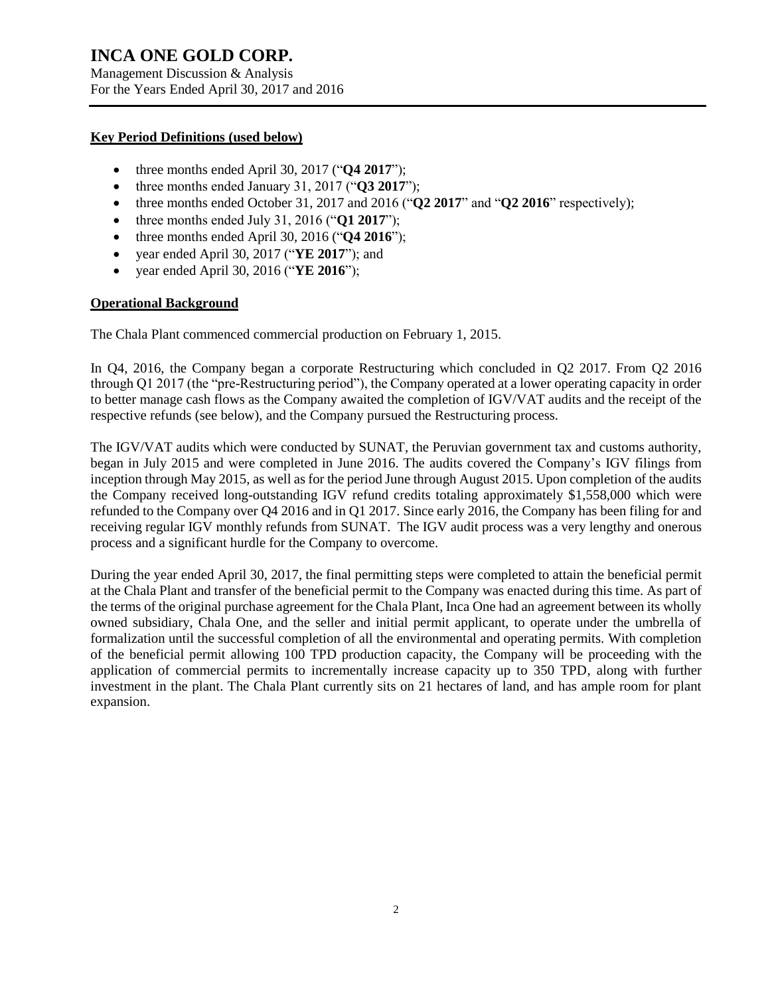Management Discussion & Analysis For the Years Ended April 30, 2017 and 2016

### **Key Period Definitions (used below)**

- three months ended April 30, 2017 ("**Q4 2017**");
- three months ended January 31, 2017 ("**Q3 2017**");
- three months ended October 31, 2017 and 2016 (" $\mathbf{O2}$  2017" and " $\mathbf{O2}$  2016" respectively);
- three months ended July 31, 2016 ("**Q1 2017**");
- three months ended April 30, 2016 ("**Q4 2016**");
- year ended April 30, 2017 ("**YE 2017**"); and
- year ended April 30, 2016 ("**YE 2016**");

### **Operational Background**

The Chala Plant commenced commercial production on February 1, 2015.

In Q4, 2016, the Company began a corporate Restructuring which concluded in Q2 2017. From Q2 2016 through Q1 2017 (the "pre-Restructuring period"), the Company operated at a lower operating capacity in order to better manage cash flows as the Company awaited the completion of IGV/VAT audits and the receipt of the respective refunds (see below), and the Company pursued the Restructuring process.

The IGV/VAT audits which were conducted by SUNAT, the Peruvian government tax and customs authority, began in July 2015 and were completed in June 2016. The audits covered the Company's IGV filings from inception through May 2015, as well as for the period June through August 2015. Upon completion of the audits the Company received long-outstanding IGV refund credits totaling approximately \$1,558,000 which were refunded to the Company over Q4 2016 and in Q1 2017. Since early 2016, the Company has been filing for and receiving regular IGV monthly refunds from SUNAT. The IGV audit process was a very lengthy and onerous process and a significant hurdle for the Company to overcome.

During the year ended April 30, 2017, the final permitting steps were completed to attain the beneficial permit at the Chala Plant and transfer of the beneficial permit to the Company was enacted during this time. As part of the terms of the original purchase agreement for the Chala Plant, Inca One had an agreement between its wholly owned subsidiary, Chala One, and the seller and initial permit applicant, to operate under the umbrella of formalization until the successful completion of all the environmental and operating permits. With completion of the beneficial permit allowing 100 TPD production capacity, the Company will be proceeding with the application of commercial permits to incrementally increase capacity up to 350 TPD, along with further investment in the plant. The Chala Plant currently sits on 21 hectares of land, and has ample room for plant expansion.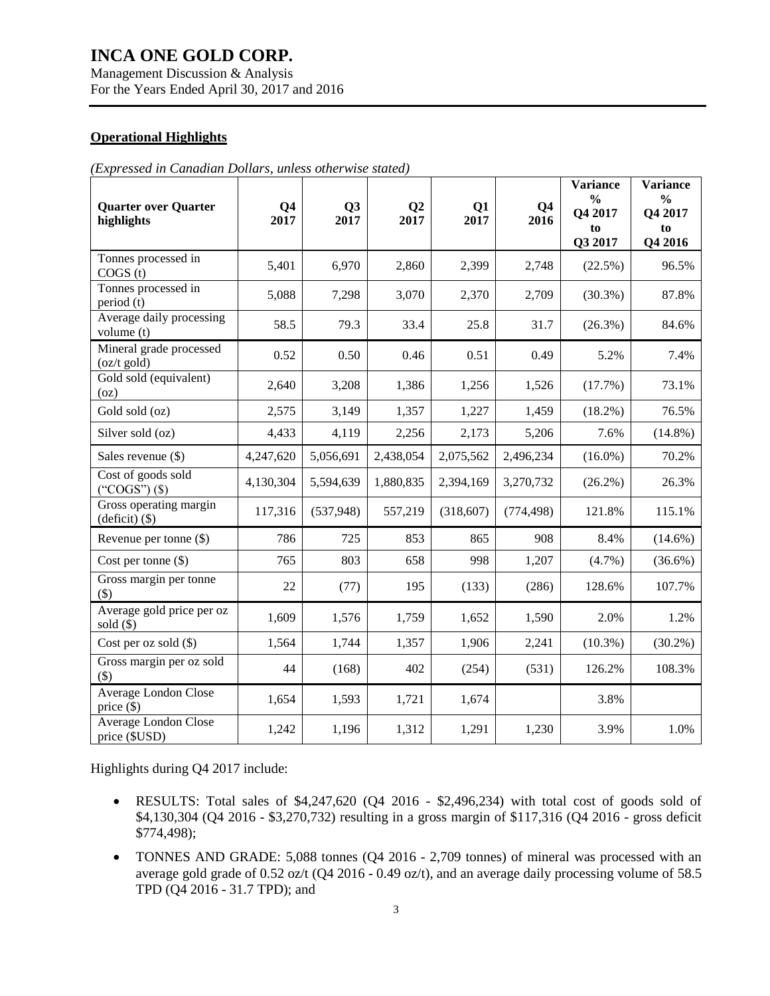Management Discussion & Analysis For the Years Ended April 30, 2017 and 2016

### **Operational Highlights**

| (Expressed in Canadian Dollars, unless otherwise stated) |  |  |  |  |  |  |
|----------------------------------------------------------|--|--|--|--|--|--|
|----------------------------------------------------------|--|--|--|--|--|--|

| <b>Quarter over Quarter</b><br>highlights         | Q <sub>4</sub><br>2017 | Q <sub>3</sub><br>2017 | Q <sub>2</sub><br>2017 | Q1<br>2017 | Q <sub>4</sub><br>2016 | <b>Variance</b><br>$\frac{0}{0}$<br>Q4 2017<br>to<br>Q3 2017 | <b>Variance</b><br>$\frac{6}{6}$<br>Q4 2017<br>to<br>Q4 2016 |
|---------------------------------------------------|------------------------|------------------------|------------------------|------------|------------------------|--------------------------------------------------------------|--------------------------------------------------------------|
| Tonnes processed in<br>COGS(t)                    | 5,401                  | 6,970                  | 2,860                  | 2,399      | 2,748                  | (22.5%)                                                      | 96.5%                                                        |
| Tonnes processed in<br>period (t)                 | 5,088                  | 7,298                  | 3,070                  | 2,370      | 2,709                  | $(30.3\%)$                                                   | 87.8%                                                        |
| Average daily processing<br>volume (t)            | 58.5                   | 79.3                   | 33.4                   | 25.8       | 31.7                   | $(26.3\%)$                                                   | 84.6%                                                        |
| Mineral grade processed<br>$(oz/t$ gold)          | 0.52                   | 0.50                   | 0.46                   | 0.51       | 0.49                   | 5.2%                                                         | 7.4%                                                         |
| Gold sold (equivalent)<br>(oz)                    | 2,640                  | 3,208                  | 1,386                  | 1,256      | 1,526                  | (17.7%)                                                      | 73.1%                                                        |
| Gold sold (oz)                                    | 2,575                  | 3,149                  | 1,357                  | 1,227      | 1,459                  | $(18.2\%)$                                                   | 76.5%                                                        |
| Silver sold (oz)                                  | 4,433                  | 4,119                  | 2,256                  | 2,173      | 5,206                  | 7.6%                                                         | $(14.8\%)$                                                   |
| Sales revenue (\$)                                | 4,247,620              | 5,056,691              | 2,438,054              | 2,075,562  | 2,496,234              | $(16.0\%)$                                                   | 70.2%                                                        |
| Cost of goods sold<br>("COGS") $(\$)$             | 4,130,304              | 5,594,639              | 1,880,835              | 2,394,169  | 3,270,732              | $(26.2\%)$                                                   | 26.3%                                                        |
| Gross operating margin<br>(deficit) (\$)          | 117,316                | (537,948)              | 557,219                | (318,607)  | (774, 498)             | 121.8%                                                       | 115.1%                                                       |
| Revenue per tonne $(\$)$                          | 786                    | 725                    | 853                    | 865        | 908                    | 8.4%                                                         | $(14.6\%)$                                                   |
| Cost per tonne $(\$)$                             | 765                    | 803                    | 658                    | 998        | 1,207                  | $(4.7\%)$                                                    | $(36.6\%)$                                                   |
| Gross margin per tonne<br>$($ \$)                 | 22                     | (77)                   | 195                    | (133)      | (286)                  | 128.6%                                                       | 107.7%                                                       |
| Average gold price per oz<br>$\text{ sold } (\$)$ | 1,609                  | 1,576                  | 1,759                  | 1,652      | 1,590                  | 2.0%                                                         | 1.2%                                                         |
| Cost per oz sold (\$)                             | 1,564                  | 1,744                  | 1,357                  | 1,906      | 2,241                  | $(10.3\%)$                                                   | $(30.2\%)$                                                   |
| Gross margin per oz sold<br>$($ \$)               | 44                     | (168)                  | 402                    | (254)      | (531)                  | 126.2%                                                       | 108.3%                                                       |
| Average London Close<br>price $(\$)$              | 1,654                  | 1,593                  | 1,721                  | 1,674      |                        | 3.8%                                                         |                                                              |
| Average London Close<br>price (\$USD)             | 1,242                  | 1,196                  | 1,312                  | 1,291      | 1,230                  | 3.9%                                                         | 1.0%                                                         |

Highlights during Q4 2017 include:

- RESULTS: Total sales of \$4,247,620 (Q4 2016 \$2,496,234) with total cost of goods sold of \$4,130,304 (Q4 2016 - \$3,270,732) resulting in a gross margin of \$117,316 (Q4 2016 - gross deficit \$774,498);
- TONNES AND GRADE: 5,088 tonnes (Q4 2016 2,709 tonnes) of mineral was processed with an average gold grade of 0.52 oz/t (Q4 2016 - 0.49 oz/t), and an average daily processing volume of 58.5 TPD (Q4 2016 - 31.7 TPD); and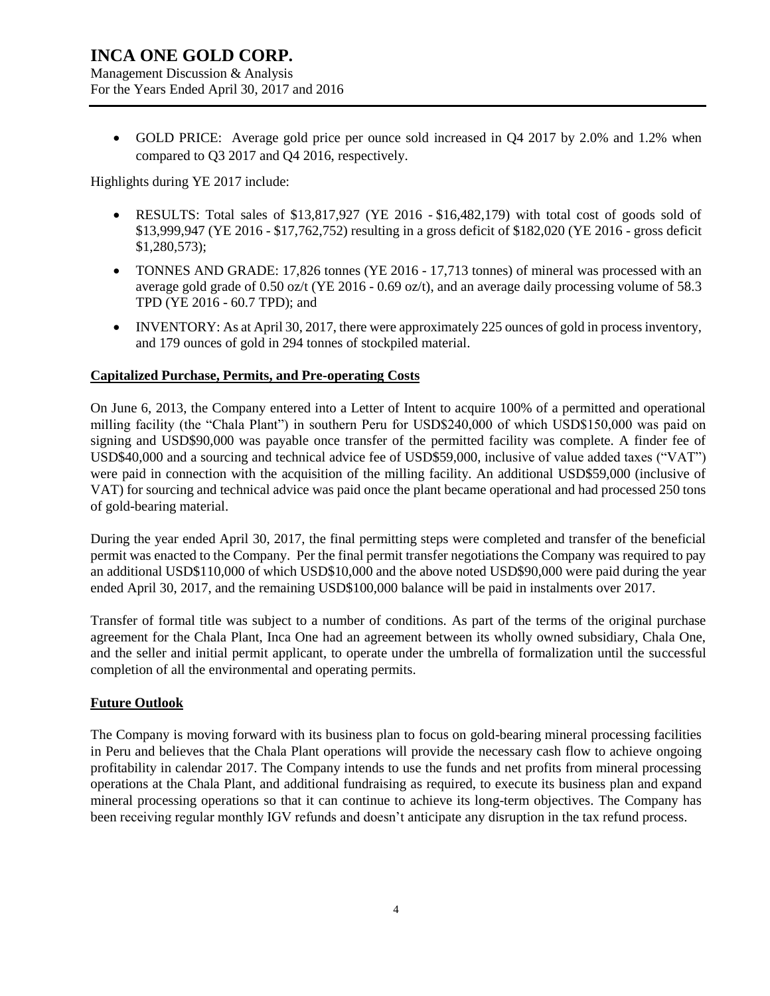Management Discussion & Analysis For the Years Ended April 30, 2017 and 2016

 GOLD PRICE: Average gold price per ounce sold increased in Q4 2017 by 2.0% and 1.2% when compared to Q3 2017 and Q4 2016, respectively.

Highlights during YE 2017 include:

- RESULTS: Total sales of \$13,817,927 (YE 2016 \$16,482,179) with total cost of goods sold of \$13,999,947 (YE 2016 - \$17,762,752) resulting in a gross deficit of \$182,020 (YE 2016 - gross deficit \$1,280,573);
- TONNES AND GRADE: 17,826 tonnes (YE 2016 17,713 tonnes) of mineral was processed with an average gold grade of 0.50 oz/t (YE 2016 - 0.69 oz/t), and an average daily processing volume of 58.3 TPD (YE 2016 - 60.7 TPD); and
- INVENTORY: As at April 30, 2017, there were approximately 225 ounces of gold in process inventory, and 179 ounces of gold in 294 tonnes of stockpiled material.

### **Capitalized Purchase, Permits, and Pre-operating Costs**

On June 6, 2013, the Company entered into a Letter of Intent to acquire 100% of a permitted and operational milling facility (the "Chala Plant") in southern Peru for USD\$240,000 of which USD\$150,000 was paid on signing and USD\$90,000 was payable once transfer of the permitted facility was complete. A finder fee of USD\$40,000 and a sourcing and technical advice fee of USD\$59,000, inclusive of value added taxes ("VAT") were paid in connection with the acquisition of the milling facility. An additional USD\$59,000 (inclusive of VAT) for sourcing and technical advice was paid once the plant became operational and had processed 250 tons of gold-bearing material.

During the year ended April 30, 2017, the final permitting steps were completed and transfer of the beneficial permit was enacted to the Company. Per the final permit transfer negotiations the Company was required to pay an additional USD\$110,000 of which USD\$10,000 and the above noted USD\$90,000 were paid during the year ended April 30, 2017, and the remaining USD\$100,000 balance will be paid in instalments over 2017.

Transfer of formal title was subject to a number of conditions. As part of the terms of the original purchase agreement for the Chala Plant, Inca One had an agreement between its wholly owned subsidiary, Chala One, and the seller and initial permit applicant, to operate under the umbrella of formalization until the successful completion of all the environmental and operating permits.

### **Future Outlook**

The Company is moving forward with its business plan to focus on gold-bearing mineral processing facilities in Peru and believes that the Chala Plant operations will provide the necessary cash flow to achieve ongoing profitability in calendar 2017. The Company intends to use the funds and net profits from mineral processing operations at the Chala Plant, and additional fundraising as required, to execute its business plan and expand mineral processing operations so that it can continue to achieve its long-term objectives. The Company has been receiving regular monthly IGV refunds and doesn't anticipate any disruption in the tax refund process.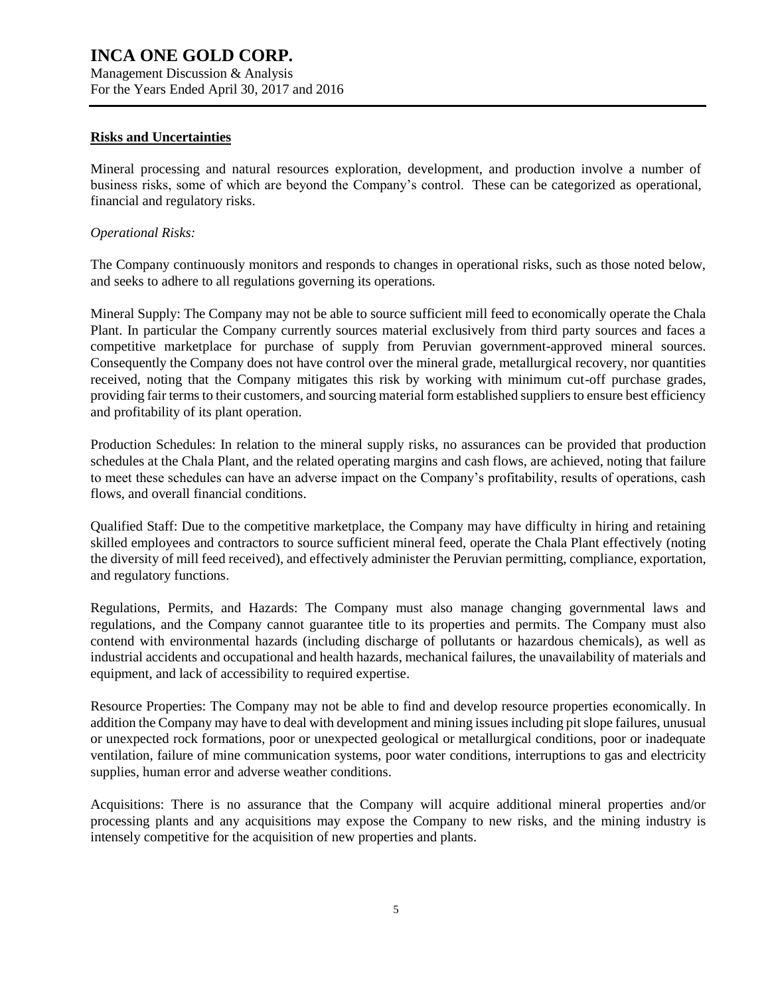Management Discussion & Analysis For the Years Ended April 30, 2017 and 2016

#### **Risks and Uncertainties**

Mineral processing and natural resources exploration, development, and production involve a number of business risks, some of which are beyond the Company's control. These can be categorized as operational, financial and regulatory risks.

#### *Operational Risks:*

The Company continuously monitors and responds to changes in operational risks, such as those noted below, and seeks to adhere to all regulations governing its operations.

Mineral Supply: The Company may not be able to source sufficient mill feed to economically operate the Chala Plant. In particular the Company currently sources material exclusively from third party sources and faces a competitive marketplace for purchase of supply from Peruvian government-approved mineral sources. Consequently the Company does not have control over the mineral grade, metallurgical recovery, nor quantities received, noting that the Company mitigates this risk by working with minimum cut-off purchase grades, providing fair terms to their customers, and sourcing material form established suppliers to ensure best efficiency and profitability of its plant operation.

Production Schedules: In relation to the mineral supply risks, no assurances can be provided that production schedules at the Chala Plant, and the related operating margins and cash flows, are achieved, noting that failure to meet these schedules can have an adverse impact on the Company's profitability, results of operations, cash flows, and overall financial conditions.

Qualified Staff: Due to the competitive marketplace, the Company may have difficulty in hiring and retaining skilled employees and contractors to source sufficient mineral feed, operate the Chala Plant effectively (noting the diversity of mill feed received), and effectively administer the Peruvian permitting, compliance, exportation, and regulatory functions.

Regulations, Permits, and Hazards: The Company must also manage changing governmental laws and regulations, and the Company cannot guarantee title to its properties and permits. The Company must also contend with environmental hazards (including discharge of pollutants or hazardous chemicals), as well as industrial accidents and occupational and health hazards, mechanical failures, the unavailability of materials and equipment, and lack of accessibility to required expertise.

Resource Properties: The Company may not be able to find and develop resource properties economically. In addition the Company may have to deal with development and mining issues including pit slope failures, unusual or unexpected rock formations, poor or unexpected geological or metallurgical conditions, poor or inadequate ventilation, failure of mine communication systems, poor water conditions, interruptions to gas and electricity supplies, human error and adverse weather conditions.

Acquisitions: There is no assurance that the Company will acquire additional mineral properties and/or processing plants and any acquisitions may expose the Company to new risks, and the mining industry is intensely competitive for the acquisition of new properties and plants.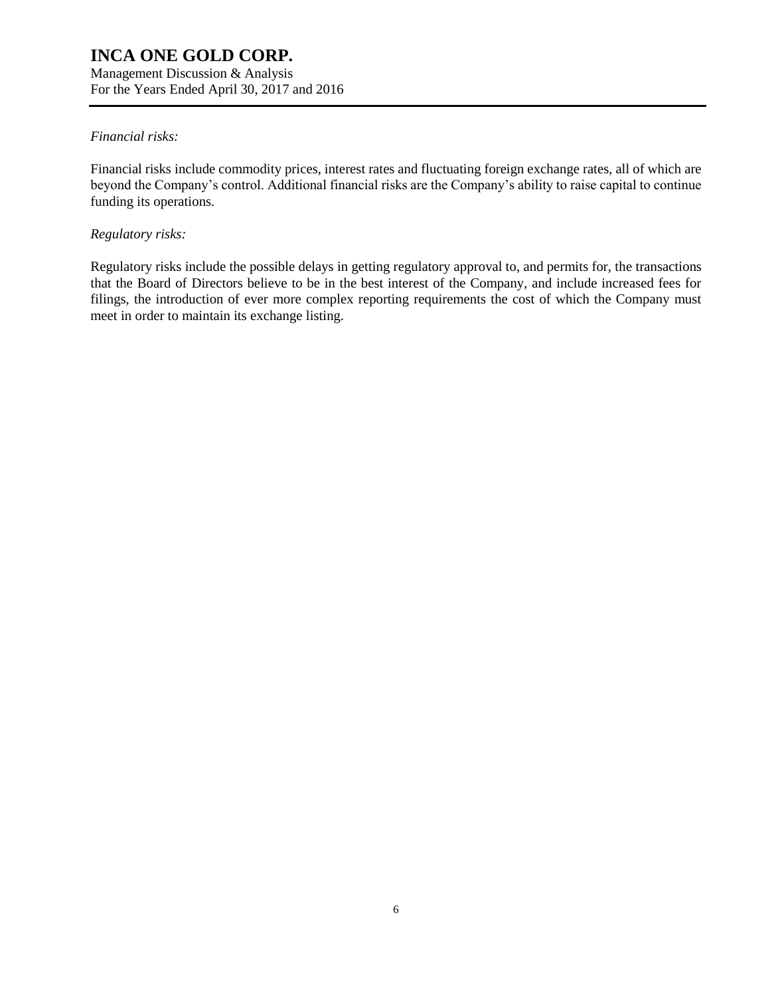Management Discussion & Analysis For the Years Ended April 30, 2017 and 2016

### *Financial risks:*

Financial risks include commodity prices, interest rates and fluctuating foreign exchange rates, all of which are beyond the Company's control. Additional financial risks are the Company's ability to raise capital to continue funding its operations.

### *Regulatory risks:*

Regulatory risks include the possible delays in getting regulatory approval to, and permits for, the transactions that the Board of Directors believe to be in the best interest of the Company, and include increased fees for filings, the introduction of ever more complex reporting requirements the cost of which the Company must meet in order to maintain its exchange listing.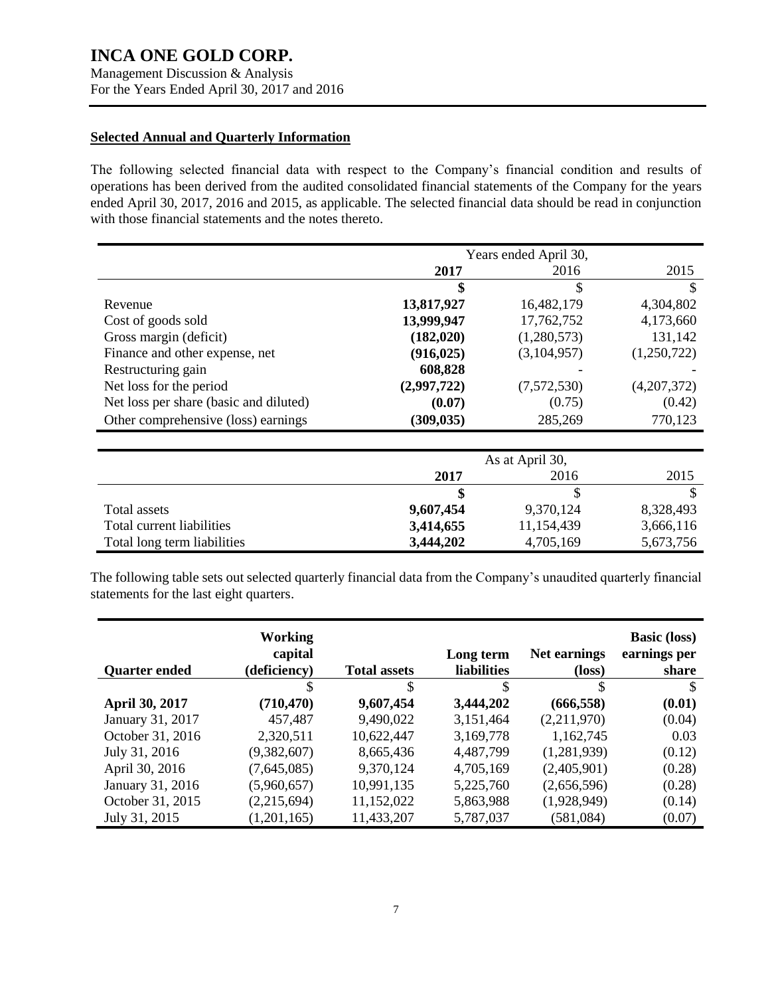Management Discussion & Analysis For the Years Ended April 30, 2017 and 2016

### **Selected Annual and Quarterly Information**

The following selected financial data with respect to the Company's financial condition and results of operations has been derived from the audited consolidated financial statements of the Company for the years ended April 30, 2017, 2016 and 2015, as applicable. The selected financial data should be read in conjunction with those financial statements and the notes thereto.

|                                        | Years ended April 30, |                 |             |
|----------------------------------------|-----------------------|-----------------|-------------|
|                                        | 2017                  | 2016            | 2015        |
|                                        | \$                    | \$              | S           |
| Revenue                                | 13,817,927            | 16,482,179      | 4,304,802   |
| Cost of goods sold                     | 13,999,947            | 17,762,752      | 4,173,660   |
| Gross margin (deficit)                 | (182, 020)            | (1,280,573)     | 131,142     |
| Finance and other expense, net         | (916, 025)            | (3,104,957)     | (1,250,722) |
| Restructuring gain                     | 608,828               |                 |             |
| Net loss for the period                | (2,997,722)           | (7,572,530)     | (4,207,372) |
| Net loss per share (basic and diluted) | (0.07)                | (0.75)          | (0.42)      |
| Other comprehensive (loss) earnings    | (309, 035)            | 285,269         | 770,123     |
|                                        |                       |                 |             |
|                                        |                       | As at April 30, |             |
|                                        | 2017                  | 2016            | 2015        |
|                                        | \$                    | \$              | S           |
| Total assets                           | 9,607,454             | 9,370,124       | 8,328,493   |

| The following table sets out selected quarterly financial data from the Company's unaudited quarterly financial |
|-----------------------------------------------------------------------------------------------------------------|
| statements for the last eight quarters.                                                                         |

Total current liabilities **3,414,655** 11,154,439 3,666,116 Total long term liabilities **3,444,202** 4,705,169 5,673,756

|                      | Working<br>capital |                     | Long term          | Net earnings    | <b>Basic (loss)</b><br>earnings per |
|----------------------|--------------------|---------------------|--------------------|-----------------|-------------------------------------|
| <b>Quarter ended</b> | (deficiency)       | <b>Total assets</b> | <b>liabilities</b> | $(\text{loss})$ | share                               |
|                      | \$                 | \$                  | \$                 | \$              | \$                                  |
| April 30, 2017       | (710, 470)         | 9,607,454           | 3,444,202          | (666, 558)      | (0.01)                              |
| January 31, 2017     | 457,487            | 9,490,022           | 3,151,464          | (2,211,970)     | (0.04)                              |
| October 31, 2016     | 2,320,511          | 10,622,447          | 3,169,778          | 1,162,745       | 0.03                                |
| July 31, 2016        | (9,382,607)        | 8,665,436           | 4,487,799          | (1,281,939)     | (0.12)                              |
| April 30, 2016       | (7,645,085)        | 9,370,124           | 4,705,169          | (2,405,901)     | (0.28)                              |
| January 31, 2016     | (5,960,657)        | 10,991,135          | 5,225,760          | (2,656,596)     | (0.28)                              |
| October 31, 2015     | (2,215,694)        | 11,152,022          | 5,863,988          | (1,928,949)     | (0.14)                              |
| July 31, 2015        | (1,201,165)        | 11,433,207          | 5,787,037          | (581,084)       | (0.07)                              |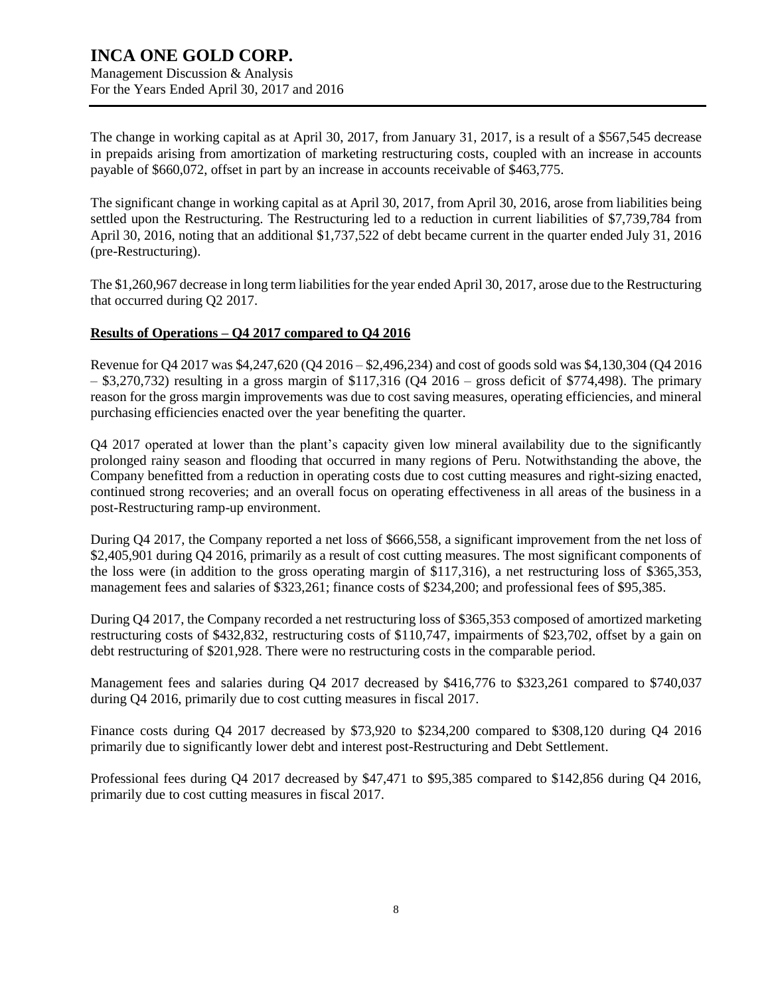Management Discussion & Analysis For the Years Ended April 30, 2017 and 2016

The change in working capital as at April 30, 2017, from January 31, 2017, is a result of a \$567,545 decrease in prepaids arising from amortization of marketing restructuring costs, coupled with an increase in accounts payable of \$660,072, offset in part by an increase in accounts receivable of \$463,775.

The significant change in working capital as at April 30, 2017, from April 30, 2016, arose from liabilities being settled upon the Restructuring. The Restructuring led to a reduction in current liabilities of \$7,739,784 from April 30, 2016, noting that an additional \$1,737,522 of debt became current in the quarter ended July 31, 2016 (pre-Restructuring).

The \$1,260,967 decrease in long term liabilities for the year ended April 30, 2017, arose due to the Restructuring that occurred during Q2 2017.

### **Results of Operations – Q4 2017 compared to Q4 2016**

Revenue for Q4 2017 was \$4,247,620 (Q4 2016 – \$2,496,234) and cost of goods sold was \$4,130,304 (Q4 2016  $-$  \$3,270,732) resulting in a gross margin of \$117,316 (Q4 2016 – gross deficit of \$774,498). The primary reason for the gross margin improvements was due to cost saving measures, operating efficiencies, and mineral purchasing efficiencies enacted over the year benefiting the quarter.

Q4 2017 operated at lower than the plant's capacity given low mineral availability due to the significantly prolonged rainy season and flooding that occurred in many regions of Peru. Notwithstanding the above, the Company benefitted from a reduction in operating costs due to cost cutting measures and right-sizing enacted, continued strong recoveries; and an overall focus on operating effectiveness in all areas of the business in a post-Restructuring ramp-up environment.

During Q4 2017, the Company reported a net loss of \$666,558, a significant improvement from the net loss of \$2,405,901 during Q4 2016, primarily as a result of cost cutting measures. The most significant components of the loss were (in addition to the gross operating margin of \$117,316), a net restructuring loss of \$365,353, management fees and salaries of \$323,261; finance costs of \$234,200; and professional fees of \$95,385.

During Q4 2017, the Company recorded a net restructuring loss of \$365,353 composed of amortized marketing restructuring costs of \$432,832, restructuring costs of \$110,747, impairments of \$23,702, offset by a gain on debt restructuring of \$201,928. There were no restructuring costs in the comparable period.

Management fees and salaries during Q4 2017 decreased by \$416,776 to \$323,261 compared to \$740,037 during Q4 2016, primarily due to cost cutting measures in fiscal 2017.

Finance costs during Q4 2017 decreased by \$73,920 to \$234,200 compared to \$308,120 during Q4 2016 primarily due to significantly lower debt and interest post-Restructuring and Debt Settlement.

Professional fees during Q4 2017 decreased by \$47,471 to \$95,385 compared to \$142,856 during Q4 2016, primarily due to cost cutting measures in fiscal 2017.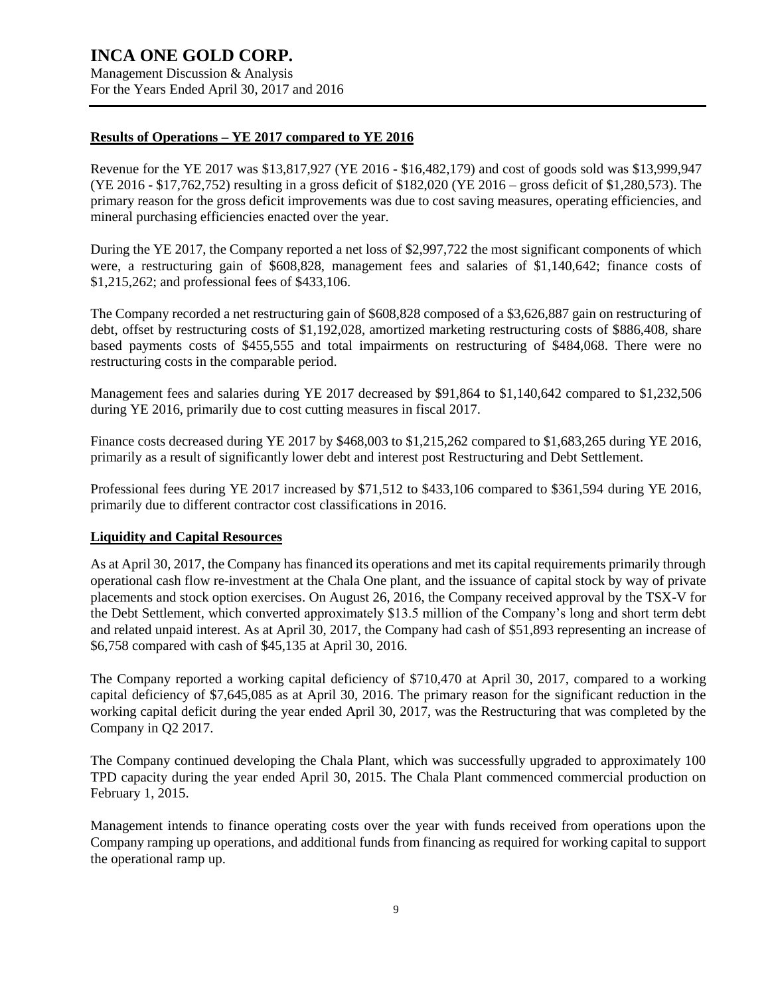Management Discussion & Analysis For the Years Ended April 30, 2017 and 2016

### **Results of Operations – YE 2017 compared to YE 2016**

Revenue for the YE 2017 was \$13,817,927 (YE 2016 - \$16,482,179) and cost of goods sold was \$13,999,947 (YE 2016 - \$17,762,752) resulting in a gross deficit of \$182,020 (YE 2016 – gross deficit of \$1,280,573). The primary reason for the gross deficit improvements was due to cost saving measures, operating efficiencies, and mineral purchasing efficiencies enacted over the year.

During the YE 2017, the Company reported a net loss of \$2,997,722 the most significant components of which were, a restructuring gain of \$608,828, management fees and salaries of \$1,140,642; finance costs of \$1,215,262; and professional fees of \$433,106.

The Company recorded a net restructuring gain of \$608,828 composed of a \$3,626,887 gain on restructuring of debt, offset by restructuring costs of \$1,192,028, amortized marketing restructuring costs of \$886,408, share based payments costs of \$455,555 and total impairments on restructuring of \$484,068. There were no restructuring costs in the comparable period.

Management fees and salaries during YE 2017 decreased by \$91,864 to \$1,140,642 compared to \$1,232,506 during YE 2016, primarily due to cost cutting measures in fiscal 2017.

Finance costs decreased during YE 2017 by \$468,003 to \$1,215,262 compared to \$1,683,265 during YE 2016, primarily as a result of significantly lower debt and interest post Restructuring and Debt Settlement.

Professional fees during YE 2017 increased by \$71,512 to \$433,106 compared to \$361,594 during YE 2016, primarily due to different contractor cost classifications in 2016.

#### **Liquidity and Capital Resources**

As at April 30, 2017, the Company has financed its operations and met its capital requirements primarily through operational cash flow re-investment at the Chala One plant, and the issuance of capital stock by way of private placements and stock option exercises. On August 26, 2016, the Company received approval by the TSX-V for the Debt Settlement, which converted approximately \$13.5 million of the Company's long and short term debt and related unpaid interest. As at April 30, 2017, the Company had cash of \$51,893 representing an increase of \$6,758 compared with cash of \$45,135 at April 30, 2016.

The Company reported a working capital deficiency of \$710,470 at April 30, 2017, compared to a working capital deficiency of \$7,645,085 as at April 30, 2016. The primary reason for the significant reduction in the working capital deficit during the year ended April 30, 2017, was the Restructuring that was completed by the Company in Q2 2017.

The Company continued developing the Chala Plant, which was successfully upgraded to approximately 100 TPD capacity during the year ended April 30, 2015. The Chala Plant commenced commercial production on February 1, 2015.

Management intends to finance operating costs over the year with funds received from operations upon the Company ramping up operations, and additional funds from financing as required for working capital to support the operational ramp up.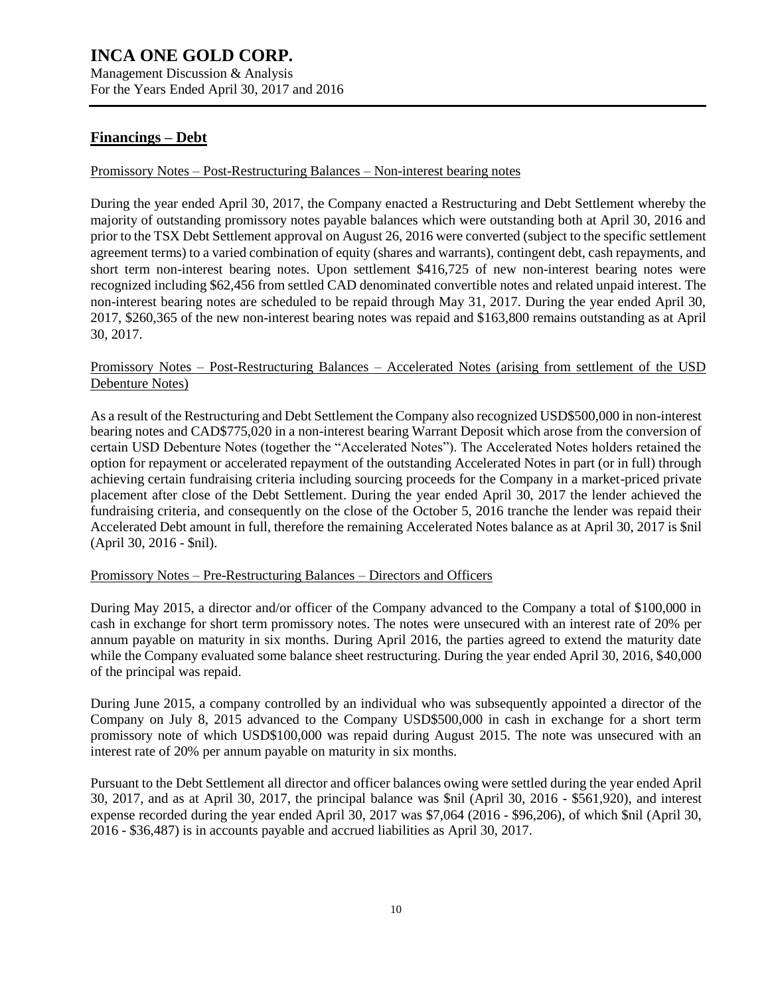Management Discussion & Analysis For the Years Ended April 30, 2017 and 2016

### **Financings – Debt**

#### Promissory Notes – Post-Restructuring Balances – Non-interest bearing notes

During the year ended April 30, 2017, the Company enacted a Restructuring and Debt Settlement whereby the majority of outstanding promissory notes payable balances which were outstanding both at April 30, 2016 and prior to the TSX Debt Settlement approval on August 26, 2016 were converted (subject to the specific settlement agreement terms) to a varied combination of equity (shares and warrants), contingent debt, cash repayments, and short term non-interest bearing notes. Upon settlement \$416,725 of new non-interest bearing notes were recognized including \$62,456 from settled CAD denominated convertible notes and related unpaid interest. The non-interest bearing notes are scheduled to be repaid through May 31, 2017. During the year ended April 30, 2017, \$260,365 of the new non-interest bearing notes was repaid and \$163,800 remains outstanding as at April 30, 2017.

### Promissory Notes – Post-Restructuring Balances – Accelerated Notes (arising from settlement of the USD Debenture Notes)

As a result of the Restructuring and Debt Settlement the Company also recognized USD\$500,000 in non-interest bearing notes and CAD\$775,020 in a non-interest bearing Warrant Deposit which arose from the conversion of certain USD Debenture Notes (together the "Accelerated Notes"). The Accelerated Notes holders retained the option for repayment or accelerated repayment of the outstanding Accelerated Notes in part (or in full) through achieving certain fundraising criteria including sourcing proceeds for the Company in a market-priced private placement after close of the Debt Settlement. During the year ended April 30, 2017 the lender achieved the fundraising criteria, and consequently on the close of the October 5, 2016 tranche the lender was repaid their Accelerated Debt amount in full, therefore the remaining Accelerated Notes balance as at April 30, 2017 is \$nil (April 30, 2016 - \$nil).

#### Promissory Notes – Pre-Restructuring Balances – Directors and Officers

During May 2015, a director and/or officer of the Company advanced to the Company a total of \$100,000 in cash in exchange for short term promissory notes. The notes were unsecured with an interest rate of 20% per annum payable on maturity in six months. During April 2016, the parties agreed to extend the maturity date while the Company evaluated some balance sheet restructuring. During the year ended April 30, 2016, \$40,000 of the principal was repaid.

During June 2015, a company controlled by an individual who was subsequently appointed a director of the Company on July 8, 2015 advanced to the Company USD\$500,000 in cash in exchange for a short term promissory note of which USD\$100,000 was repaid during August 2015. The note was unsecured with an interest rate of 20% per annum payable on maturity in six months.

Pursuant to the Debt Settlement all director and officer balances owing were settled during the year ended April 30, 2017, and as at April 30, 2017, the principal balance was \$nil (April 30, 2016 - \$561,920), and interest expense recorded during the year ended April 30, 2017 was \$7,064 (2016 - \$96,206), of which \$nil (April 30, 2016 - \$36,487) is in accounts payable and accrued liabilities as April 30, 2017.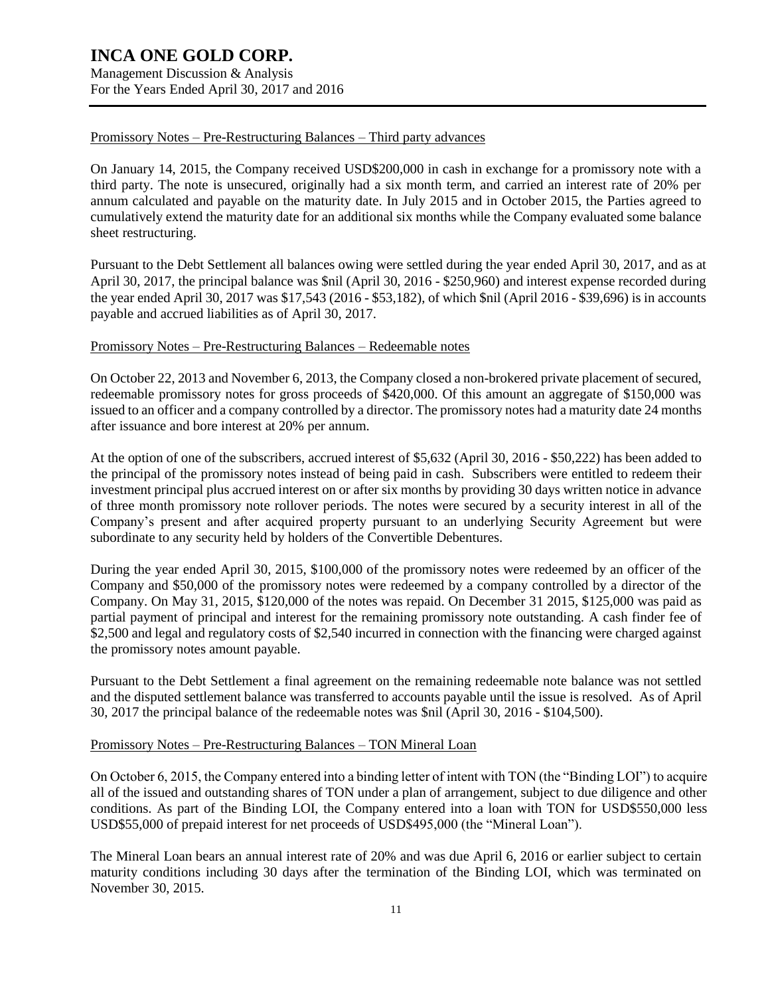Management Discussion & Analysis For the Years Ended April 30, 2017 and 2016

### Promissory Notes – Pre-Restructuring Balances – Third party advances

On January 14, 2015, the Company received USD\$200,000 in cash in exchange for a promissory note with a third party. The note is unsecured, originally had a six month term, and carried an interest rate of 20% per annum calculated and payable on the maturity date. In July 2015 and in October 2015, the Parties agreed to cumulatively extend the maturity date for an additional six months while the Company evaluated some balance sheet restructuring.

Pursuant to the Debt Settlement all balances owing were settled during the year ended April 30, 2017, and as at April 30, 2017, the principal balance was \$nil (April 30, 2016 - \$250,960) and interest expense recorded during the year ended April 30, 2017 was \$17,543 (2016 - \$53,182), of which \$nil (April 2016 - \$39,696) is in accounts payable and accrued liabilities as of April 30, 2017.

#### Promissory Notes – Pre-Restructuring Balances – Redeemable notes

On October 22, 2013 and November 6, 2013, the Company closed a non-brokered private placement of secured, redeemable promissory notes for gross proceeds of \$420,000. Of this amount an aggregate of \$150,000 was issued to an officer and a company controlled by a director. The promissory notes had a maturity date 24 months after issuance and bore interest at 20% per annum.

At the option of one of the subscribers, accrued interest of \$5,632 (April 30, 2016 - \$50,222) has been added to the principal of the promissory notes instead of being paid in cash. Subscribers were entitled to redeem their investment principal plus accrued interest on or after six months by providing 30 days written notice in advance of three month promissory note rollover periods. The notes were secured by a security interest in all of the Company's present and after acquired property pursuant to an underlying Security Agreement but were subordinate to any security held by holders of the Convertible Debentures.

During the year ended April 30, 2015, \$100,000 of the promissory notes were redeemed by an officer of the Company and \$50,000 of the promissory notes were redeemed by a company controlled by a director of the Company. On May 31, 2015, \$120,000 of the notes was repaid. On December 31 2015, \$125,000 was paid as partial payment of principal and interest for the remaining promissory note outstanding. A cash finder fee of \$2,500 and legal and regulatory costs of \$2,540 incurred in connection with the financing were charged against the promissory notes amount payable.

Pursuant to the Debt Settlement a final agreement on the remaining redeemable note balance was not settled and the disputed settlement balance was transferred to accounts payable until the issue is resolved. As of April 30, 2017 the principal balance of the redeemable notes was \$nil (April 30, 2016 - \$104,500).

#### Promissory Notes – Pre-Restructuring Balances – TON Mineral Loan

On October 6, 2015, the Company entered into a binding letter of intent with TON (the "Binding LOI") to acquire all of the issued and outstanding shares of TON under a plan of arrangement, subject to due diligence and other conditions. As part of the Binding LOI, the Company entered into a loan with TON for USD\$550,000 less USD\$55,000 of prepaid interest for net proceeds of USD\$495,000 (the "Mineral Loan").

The Mineral Loan bears an annual interest rate of 20% and was due April 6, 2016 or earlier subject to certain maturity conditions including 30 days after the termination of the Binding LOI, which was terminated on November 30, 2015.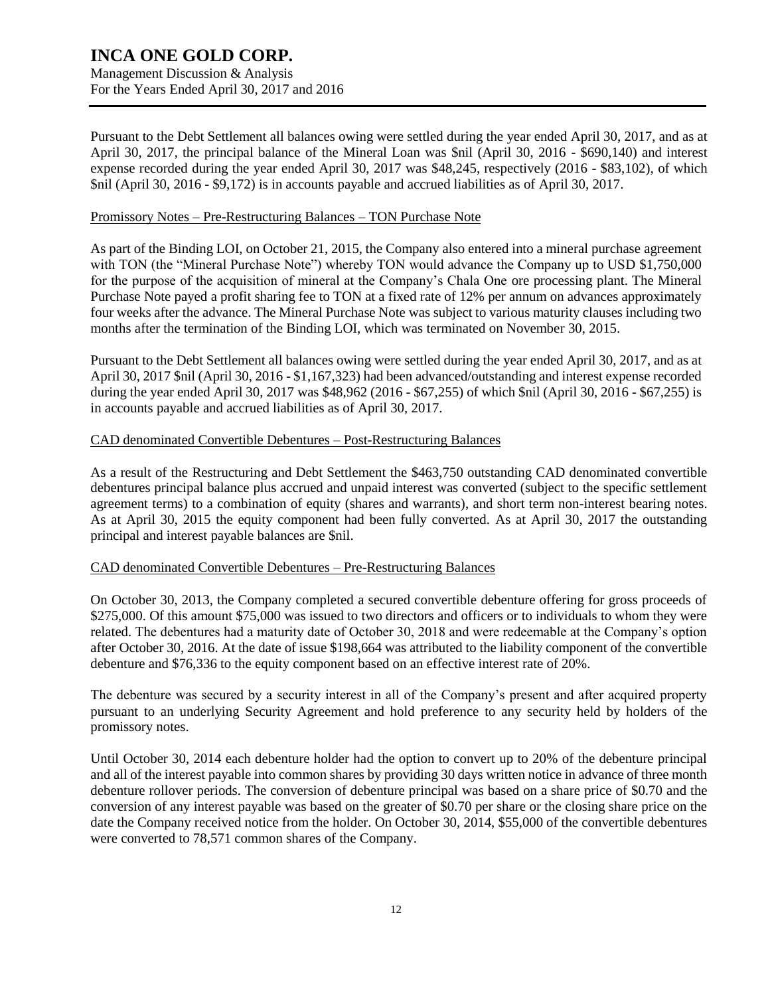Management Discussion & Analysis For the Years Ended April 30, 2017 and 2016

Pursuant to the Debt Settlement all balances owing were settled during the year ended April 30, 2017, and as at April 30, 2017, the principal balance of the Mineral Loan was \$nil (April 30, 2016 - \$690,140) and interest expense recorded during the year ended April 30, 2017 was \$48,245, respectively (2016 - \$83,102), of which \$nil (April 30, 2016 - \$9,172) is in accounts payable and accrued liabilities as of April 30, 2017.

#### Promissory Notes – Pre-Restructuring Balances – TON Purchase Note

As part of the Binding LOI, on October 21, 2015, the Company also entered into a mineral purchase agreement with TON (the "Mineral Purchase Note") whereby TON would advance the Company up to USD \$1,750,000 for the purpose of the acquisition of mineral at the Company's Chala One ore processing plant. The Mineral Purchase Note payed a profit sharing fee to TON at a fixed rate of 12% per annum on advances approximately four weeks after the advance. The Mineral Purchase Note was subject to various maturity clauses including two months after the termination of the Binding LOI, which was terminated on November 30, 2015.

Pursuant to the Debt Settlement all balances owing were settled during the year ended April 30, 2017, and as at April 30, 2017 \$nil (April 30, 2016 - \$1,167,323) had been advanced/outstanding and interest expense recorded during the year ended April 30, 2017 was \$48,962 (2016 - \$67,255) of which \$nil (April 30, 2016 - \$67,255) is in accounts payable and accrued liabilities as of April 30, 2017.

### CAD denominated Convertible Debentures – Post-Restructuring Balances

As a result of the Restructuring and Debt Settlement the \$463,750 outstanding CAD denominated convertible debentures principal balance plus accrued and unpaid interest was converted (subject to the specific settlement agreement terms) to a combination of equity (shares and warrants), and short term non-interest bearing notes. As at April 30, 2015 the equity component had been fully converted. As at April 30, 2017 the outstanding principal and interest payable balances are \$nil.

### CAD denominated Convertible Debentures – Pre-Restructuring Balances

On October 30, 2013, the Company completed a secured convertible debenture offering for gross proceeds of \$275,000. Of this amount \$75,000 was issued to two directors and officers or to individuals to whom they were related. The debentures had a maturity date of October 30, 2018 and were redeemable at the Company's option after October 30, 2016. At the date of issue \$198,664 was attributed to the liability component of the convertible debenture and \$76,336 to the equity component based on an effective interest rate of 20%.

The debenture was secured by a security interest in all of the Company's present and after acquired property pursuant to an underlying Security Agreement and hold preference to any security held by holders of the promissory notes.

Until October 30, 2014 each debenture holder had the option to convert up to 20% of the debenture principal and all of the interest payable into common shares by providing 30 days written notice in advance of three month debenture rollover periods. The conversion of debenture principal was based on a share price of \$0.70 and the conversion of any interest payable was based on the greater of \$0.70 per share or the closing share price on the date the Company received notice from the holder. On October 30, 2014, \$55,000 of the convertible debentures were converted to 78,571 common shares of the Company.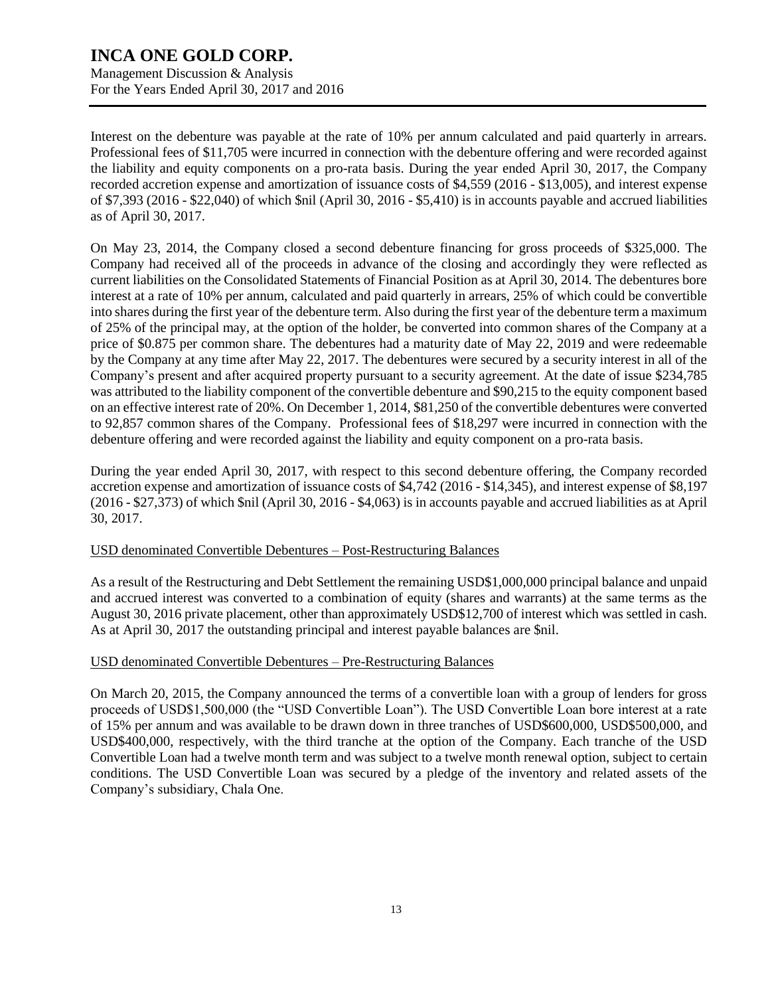Management Discussion & Analysis For the Years Ended April 30, 2017 and 2016

Interest on the debenture was payable at the rate of 10% per annum calculated and paid quarterly in arrears. Professional fees of \$11,705 were incurred in connection with the debenture offering and were recorded against the liability and equity components on a pro-rata basis. During the year ended April 30, 2017, the Company recorded accretion expense and amortization of issuance costs of \$4,559 (2016 - \$13,005), and interest expense of \$7,393 (2016 - \$22,040) of which \$nil (April 30, 2016 - \$5,410) is in accounts payable and accrued liabilities as of April 30, 2017.

On May 23, 2014, the Company closed a second debenture financing for gross proceeds of \$325,000. The Company had received all of the proceeds in advance of the closing and accordingly they were reflected as current liabilities on the Consolidated Statements of Financial Position as at April 30, 2014. The debentures bore interest at a rate of 10% per annum, calculated and paid quarterly in arrears, 25% of which could be convertible into shares during the first year of the debenture term. Also during the first year of the debenture term a maximum of 25% of the principal may, at the option of the holder, be converted into common shares of the Company at a price of \$0.875 per common share. The debentures had a maturity date of May 22, 2019 and were redeemable by the Company at any time after May 22, 2017. The debentures were secured by a security interest in all of the Company's present and after acquired property pursuant to a security agreement. At the date of issue \$234,785 was attributed to the liability component of the convertible debenture and \$90,215 to the equity component based on an effective interest rate of 20%. On December 1, 2014, \$81,250 of the convertible debentures were converted to 92,857 common shares of the Company. Professional fees of \$18,297 were incurred in connection with the debenture offering and were recorded against the liability and equity component on a pro-rata basis.

During the year ended April 30, 2017, with respect to this second debenture offering, the Company recorded accretion expense and amortization of issuance costs of \$4,742 (2016 - \$14,345), and interest expense of \$8,197 (2016 - \$27,373) of which \$nil (April 30, 2016 - \$4,063) is in accounts payable and accrued liabilities as at April 30, 2017.

### USD denominated Convertible Debentures – Post-Restructuring Balances

As a result of the Restructuring and Debt Settlement the remaining USD\$1,000,000 principal balance and unpaid and accrued interest was converted to a combination of equity (shares and warrants) at the same terms as the August 30, 2016 private placement, other than approximately USD\$12,700 of interest which was settled in cash. As at April 30, 2017 the outstanding principal and interest payable balances are \$nil.

### USD denominated Convertible Debentures – Pre-Restructuring Balances

On March 20, 2015, the Company announced the terms of a convertible loan with a group of lenders for gross proceeds of USD\$1,500,000 (the "USD Convertible Loan"). The USD Convertible Loan bore interest at a rate of 15% per annum and was available to be drawn down in three tranches of USD\$600,000, USD\$500,000, and USD\$400,000, respectively, with the third tranche at the option of the Company. Each tranche of the USD Convertible Loan had a twelve month term and was subject to a twelve month renewal option, subject to certain conditions. The USD Convertible Loan was secured by a pledge of the inventory and related assets of the Company's subsidiary, Chala One.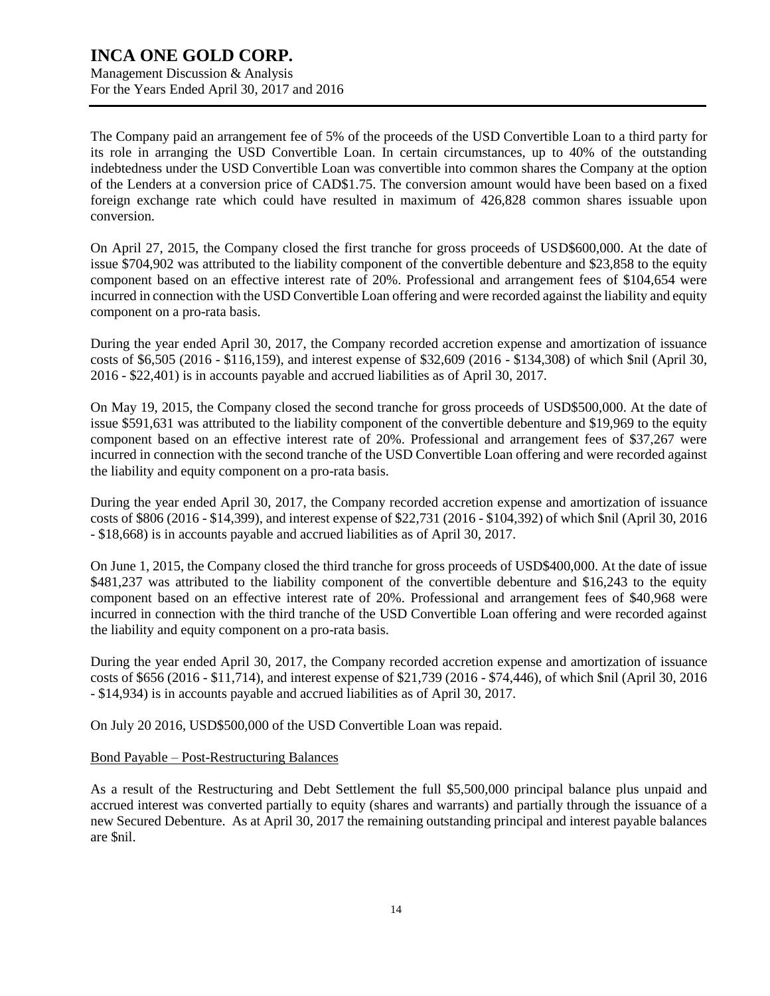Management Discussion & Analysis For the Years Ended April 30, 2017 and 2016

The Company paid an arrangement fee of 5% of the proceeds of the USD Convertible Loan to a third party for its role in arranging the USD Convertible Loan. In certain circumstances, up to 40% of the outstanding indebtedness under the USD Convertible Loan was convertible into common shares the Company at the option of the Lenders at a conversion price of CAD\$1.75. The conversion amount would have been based on a fixed foreign exchange rate which could have resulted in maximum of 426,828 common shares issuable upon conversion.

On April 27, 2015, the Company closed the first tranche for gross proceeds of USD\$600,000. At the date of issue \$704,902 was attributed to the liability component of the convertible debenture and \$23,858 to the equity component based on an effective interest rate of 20%. Professional and arrangement fees of \$104,654 were incurred in connection with the USD Convertible Loan offering and were recorded against the liability and equity component on a pro-rata basis.

During the year ended April 30, 2017, the Company recorded accretion expense and amortization of issuance costs of \$6,505 (2016 - \$116,159), and interest expense of \$32,609 (2016 - \$134,308) of which \$nil (April 30, 2016 - \$22,401) is in accounts payable and accrued liabilities as of April 30, 2017.

On May 19, 2015, the Company closed the second tranche for gross proceeds of USD\$500,000. At the date of issue \$591,631 was attributed to the liability component of the convertible debenture and \$19,969 to the equity component based on an effective interest rate of 20%. Professional and arrangement fees of \$37,267 were incurred in connection with the second tranche of the USD Convertible Loan offering and were recorded against the liability and equity component on a pro-rata basis.

During the year ended April 30, 2017, the Company recorded accretion expense and amortization of issuance costs of \$806 (2016 - \$14,399), and interest expense of \$22,731 (2016 - \$104,392) of which \$nil (April 30, 2016 - \$18,668) is in accounts payable and accrued liabilities as of April 30, 2017.

On June 1, 2015, the Company closed the third tranche for gross proceeds of USD\$400,000. At the date of issue \$481,237 was attributed to the liability component of the convertible debenture and \$16,243 to the equity component based on an effective interest rate of 20%. Professional and arrangement fees of \$40,968 were incurred in connection with the third tranche of the USD Convertible Loan offering and were recorded against the liability and equity component on a pro-rata basis.

During the year ended April 30, 2017, the Company recorded accretion expense and amortization of issuance costs of \$656 (2016 - \$11,714), and interest expense of \$21,739 (2016 - \$74,446), of which \$nil (April 30, 2016 - \$14,934) is in accounts payable and accrued liabilities as of April 30, 2017.

On July 20 2016, USD\$500,000 of the USD Convertible Loan was repaid.

### Bond Payable – Post-Restructuring Balances

As a result of the Restructuring and Debt Settlement the full \$5,500,000 principal balance plus unpaid and accrued interest was converted partially to equity (shares and warrants) and partially through the issuance of a new Secured Debenture. As at April 30, 2017 the remaining outstanding principal and interest payable balances are \$nil.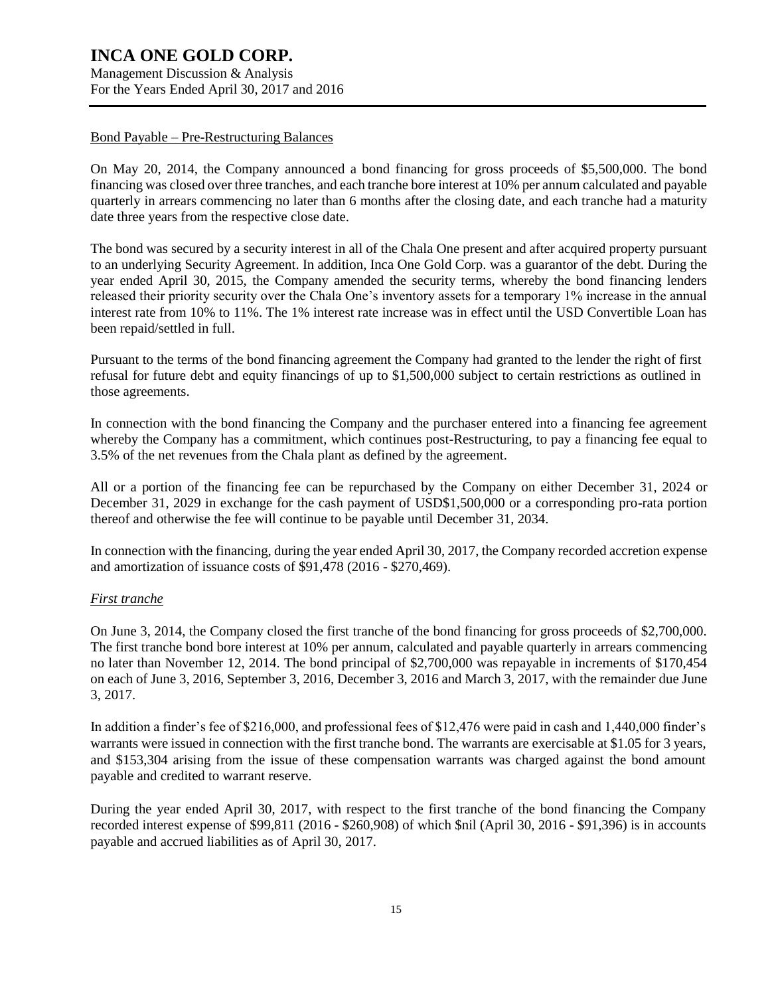Management Discussion & Analysis For the Years Ended April 30, 2017 and 2016

#### Bond Payable – Pre-Restructuring Balances

On May 20, 2014, the Company announced a bond financing for gross proceeds of \$5,500,000. The bond financing was closed over three tranches, and each tranche bore interest at 10% per annum calculated and payable quarterly in arrears commencing no later than 6 months after the closing date, and each tranche had a maturity date three years from the respective close date.

The bond was secured by a security interest in all of the Chala One present and after acquired property pursuant to an underlying Security Agreement. In addition, Inca One Gold Corp. was a guarantor of the debt. During the year ended April 30, 2015, the Company amended the security terms, whereby the bond financing lenders released their priority security over the Chala One's inventory assets for a temporary 1% increase in the annual interest rate from 10% to 11%. The 1% interest rate increase was in effect until the USD Convertible Loan has been repaid/settled in full.

Pursuant to the terms of the bond financing agreement the Company had granted to the lender the right of first refusal for future debt and equity financings of up to \$1,500,000 subject to certain restrictions as outlined in those agreements.

In connection with the bond financing the Company and the purchaser entered into a financing fee agreement whereby the Company has a commitment, which continues post-Restructuring, to pay a financing fee equal to 3.5% of the net revenues from the Chala plant as defined by the agreement.

All or a portion of the financing fee can be repurchased by the Company on either December 31, 2024 or December 31, 2029 in exchange for the cash payment of USD\$1,500,000 or a corresponding pro-rata portion thereof and otherwise the fee will continue to be payable until December 31, 2034.

In connection with the financing, during the year ended April 30, 2017, the Company recorded accretion expense and amortization of issuance costs of \$91,478 (2016 - \$270,469).

### *First tranche*

On June 3, 2014, the Company closed the first tranche of the bond financing for gross proceeds of \$2,700,000. The first tranche bond bore interest at 10% per annum, calculated and payable quarterly in arrears commencing no later than November 12, 2014. The bond principal of \$2,700,000 was repayable in increments of \$170,454 on each of June 3, 2016, September 3, 2016, December 3, 2016 and March 3, 2017, with the remainder due June 3, 2017.

In addition a finder's fee of \$216,000, and professional fees of \$12,476 were paid in cash and 1,440,000 finder's warrants were issued in connection with the first tranche bond. The warrants are exercisable at \$1.05 for 3 years, and \$153,304 arising from the issue of these compensation warrants was charged against the bond amount payable and credited to warrant reserve.

During the year ended April 30, 2017, with respect to the first tranche of the bond financing the Company recorded interest expense of \$99,811 (2016 - \$260,908) of which \$nil (April 30, 2016 - \$91,396) is in accounts payable and accrued liabilities as of April 30, 2017.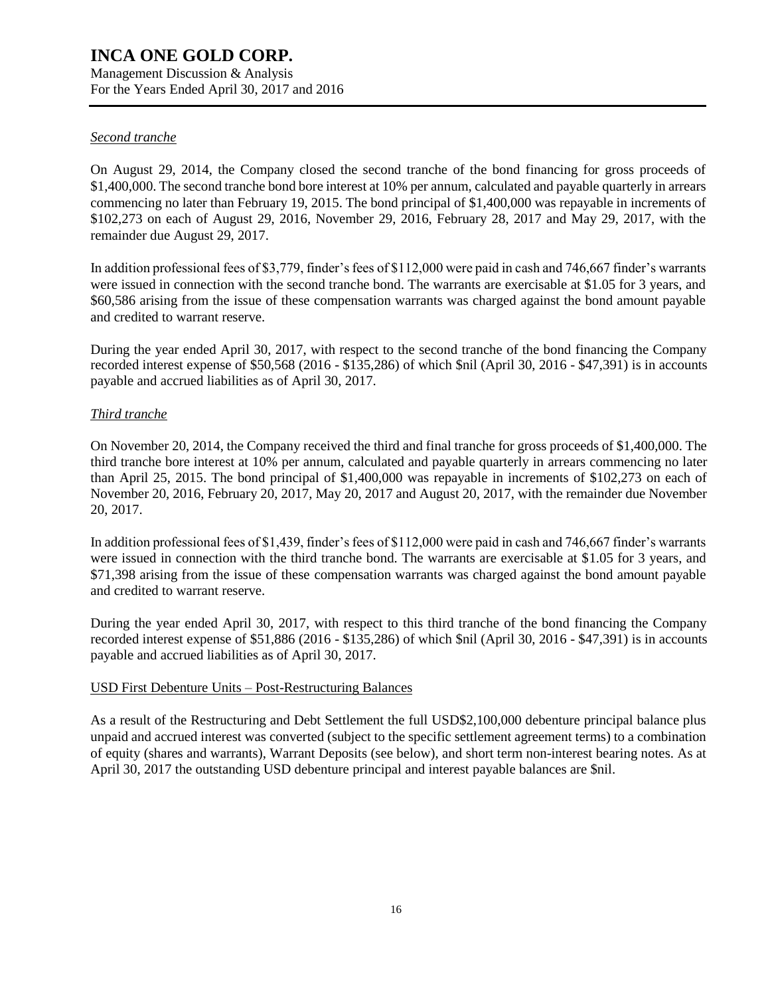Management Discussion & Analysis For the Years Ended April 30, 2017 and 2016

### *Second tranche*

On August 29, 2014, the Company closed the second tranche of the bond financing for gross proceeds of \$1,400,000. The second tranche bond bore interest at 10% per annum, calculated and payable quarterly in arrears commencing no later than February 19, 2015. The bond principal of \$1,400,000 was repayable in increments of \$102,273 on each of August 29, 2016, November 29, 2016, February 28, 2017 and May 29, 2017, with the remainder due August 29, 2017.

In addition professional fees of \$3,779, finder's fees of \$112,000 were paid in cash and 746,667 finder's warrants were issued in connection with the second tranche bond. The warrants are exercisable at \$1.05 for 3 years, and \$60,586 arising from the issue of these compensation warrants was charged against the bond amount payable and credited to warrant reserve.

During the year ended April 30, 2017, with respect to the second tranche of the bond financing the Company recorded interest expense of \$50,568 (2016 - \$135,286) of which \$nil (April 30, 2016 - \$47,391) is in accounts payable and accrued liabilities as of April 30, 2017.

### *Third tranche*

On November 20, 2014, the Company received the third and final tranche for gross proceeds of \$1,400,000. The third tranche bore interest at 10% per annum, calculated and payable quarterly in arrears commencing no later than April 25, 2015. The bond principal of \$1,400,000 was repayable in increments of \$102,273 on each of November 20, 2016, February 20, 2017, May 20, 2017 and August 20, 2017, with the remainder due November 20, 2017.

In addition professional fees of \$1,439, finder's fees of \$112,000 were paid in cash and 746,667 finder's warrants were issued in connection with the third tranche bond. The warrants are exercisable at \$1.05 for 3 years, and \$71,398 arising from the issue of these compensation warrants was charged against the bond amount payable and credited to warrant reserve.

During the year ended April 30, 2017, with respect to this third tranche of the bond financing the Company recorded interest expense of \$51,886 (2016 - \$135,286) of which \$nil (April 30, 2016 - \$47,391) is in accounts payable and accrued liabilities as of April 30, 2017.

### USD First Debenture Units – Post-Restructuring Balances

As a result of the Restructuring and Debt Settlement the full USD\$2,100,000 debenture principal balance plus unpaid and accrued interest was converted (subject to the specific settlement agreement terms) to a combination of equity (shares and warrants), Warrant Deposits (see below), and short term non-interest bearing notes. As at April 30, 2017 the outstanding USD debenture principal and interest payable balances are \$nil.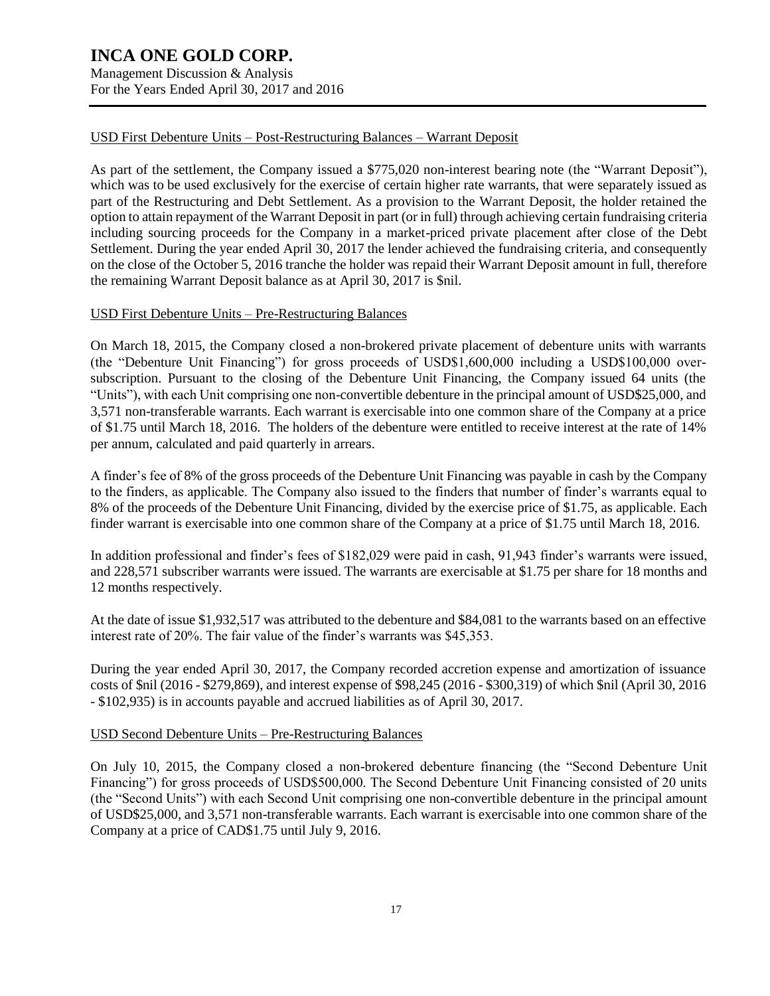Management Discussion & Analysis For the Years Ended April 30, 2017 and 2016

### USD First Debenture Units – Post-Restructuring Balances – Warrant Deposit

As part of the settlement, the Company issued a \$775,020 non-interest bearing note (the "Warrant Deposit"), which was to be used exclusively for the exercise of certain higher rate warrants, that were separately issued as part of the Restructuring and Debt Settlement. As a provision to the Warrant Deposit, the holder retained the option to attain repayment of the Warrant Deposit in part (or in full) through achieving certain fundraising criteria including sourcing proceeds for the Company in a market-priced private placement after close of the Debt Settlement. During the year ended April 30, 2017 the lender achieved the fundraising criteria, and consequently on the close of the October 5, 2016 tranche the holder was repaid their Warrant Deposit amount in full, therefore the remaining Warrant Deposit balance as at April 30, 2017 is \$nil.

#### USD First Debenture Units – Pre-Restructuring Balances

On March 18, 2015, the Company closed a non-brokered private placement of debenture units with warrants (the "Debenture Unit Financing") for gross proceeds of USD\$1,600,000 including a USD\$100,000 oversubscription. Pursuant to the closing of the Debenture Unit Financing, the Company issued 64 units (the "Units"), with each Unit comprising one non-convertible debenture in the principal amount of USD\$25,000, and 3,571 non-transferable warrants. Each warrant is exercisable into one common share of the Company at a price of \$1.75 until March 18, 2016. The holders of the debenture were entitled to receive interest at the rate of 14% per annum, calculated and paid quarterly in arrears.

A finder's fee of 8% of the gross proceeds of the Debenture Unit Financing was payable in cash by the Company to the finders, as applicable. The Company also issued to the finders that number of finder's warrants equal to 8% of the proceeds of the Debenture Unit Financing, divided by the exercise price of \$1.75, as applicable. Each finder warrant is exercisable into one common share of the Company at a price of \$1.75 until March 18, 2016.

In addition professional and finder's fees of \$182,029 were paid in cash, 91,943 finder's warrants were issued, and 228,571 subscriber warrants were issued. The warrants are exercisable at \$1.75 per share for 18 months and 12 months respectively.

At the date of issue \$1,932,517 was attributed to the debenture and \$84,081 to the warrants based on an effective interest rate of 20%. The fair value of the finder's warrants was \$45,353.

During the year ended April 30, 2017, the Company recorded accretion expense and amortization of issuance costs of \$nil (2016 - \$279,869), and interest expense of \$98,245 (2016 - \$300,319) of which \$nil (April 30, 2016 - \$102,935) is in accounts payable and accrued liabilities as of April 30, 2017.

#### USD Second Debenture Units – Pre-Restructuring Balances

On July 10, 2015, the Company closed a non-brokered debenture financing (the "Second Debenture Unit Financing") for gross proceeds of USD\$500,000. The Second Debenture Unit Financing consisted of 20 units (the "Second Units") with each Second Unit comprising one non-convertible debenture in the principal amount of USD\$25,000, and 3,571 non-transferable warrants. Each warrant is exercisable into one common share of the Company at a price of CAD\$1.75 until July 9, 2016.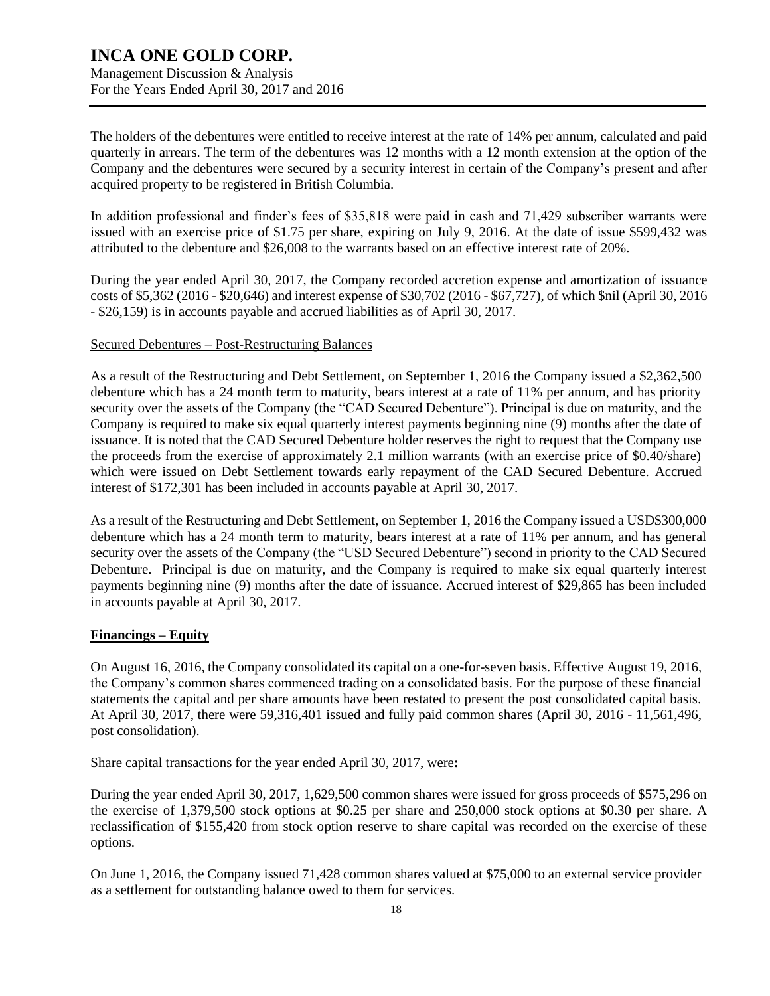The holders of the debentures were entitled to receive interest at the rate of 14% per annum, calculated and paid quarterly in arrears. The term of the debentures was 12 months with a 12 month extension at the option of the Company and the debentures were secured by a security interest in certain of the Company's present and after acquired property to be registered in British Columbia.

In addition professional and finder's fees of \$35,818 were paid in cash and 71,429 subscriber warrants were issued with an exercise price of \$1.75 per share, expiring on July 9, 2016. At the date of issue \$599,432 was attributed to the debenture and \$26,008 to the warrants based on an effective interest rate of 20%.

During the year ended April 30, 2017, the Company recorded accretion expense and amortization of issuance costs of \$5,362 (2016 - \$20,646) and interest expense of \$30,702 (2016 - \$67,727), of which \$nil (April 30, 2016 - \$26,159) is in accounts payable and accrued liabilities as of April 30, 2017.

#### Secured Debentures – Post-Restructuring Balances

As a result of the Restructuring and Debt Settlement, on September 1, 2016 the Company issued a \$2,362,500 debenture which has a 24 month term to maturity, bears interest at a rate of 11% per annum, and has priority security over the assets of the Company (the "CAD Secured Debenture"). Principal is due on maturity, and the Company is required to make six equal quarterly interest payments beginning nine (9) months after the date of issuance. It is noted that the CAD Secured Debenture holder reserves the right to request that the Company use the proceeds from the exercise of approximately 2.1 million warrants (with an exercise price of \$0.40/share) which were issued on Debt Settlement towards early repayment of the CAD Secured Debenture. Accrued interest of \$172,301 has been included in accounts payable at April 30, 2017.

As a result of the Restructuring and Debt Settlement, on September 1, 2016 the Company issued a USD\$300,000 debenture which has a 24 month term to maturity, bears interest at a rate of 11% per annum, and has general security over the assets of the Company (the "USD Secured Debenture") second in priority to the CAD Secured Debenture. Principal is due on maturity, and the Company is required to make six equal quarterly interest payments beginning nine (9) months after the date of issuance. Accrued interest of \$29,865 has been included in accounts payable at April 30, 2017.

### **Financings – Equity**

On August 16, 2016, the Company consolidated its capital on a one-for-seven basis. Effective August 19, 2016, the Company's common shares commenced trading on a consolidated basis. For the purpose of these financial statements the capital and per share amounts have been restated to present the post consolidated capital basis. At April 30, 2017, there were 59,316,401 issued and fully paid common shares (April 30, 2016 - 11,561,496, post consolidation).

Share capital transactions for the year ended April 30, 2017, were**:**

During the year ended April 30, 2017, 1,629,500 common shares were issued for gross proceeds of \$575,296 on the exercise of 1,379,500 stock options at \$0.25 per share and 250,000 stock options at \$0.30 per share. A reclassification of \$155,420 from stock option reserve to share capital was recorded on the exercise of these options.

On June 1, 2016, the Company issued 71,428 common shares valued at \$75,000 to an external service provider as a settlement for outstanding balance owed to them for services.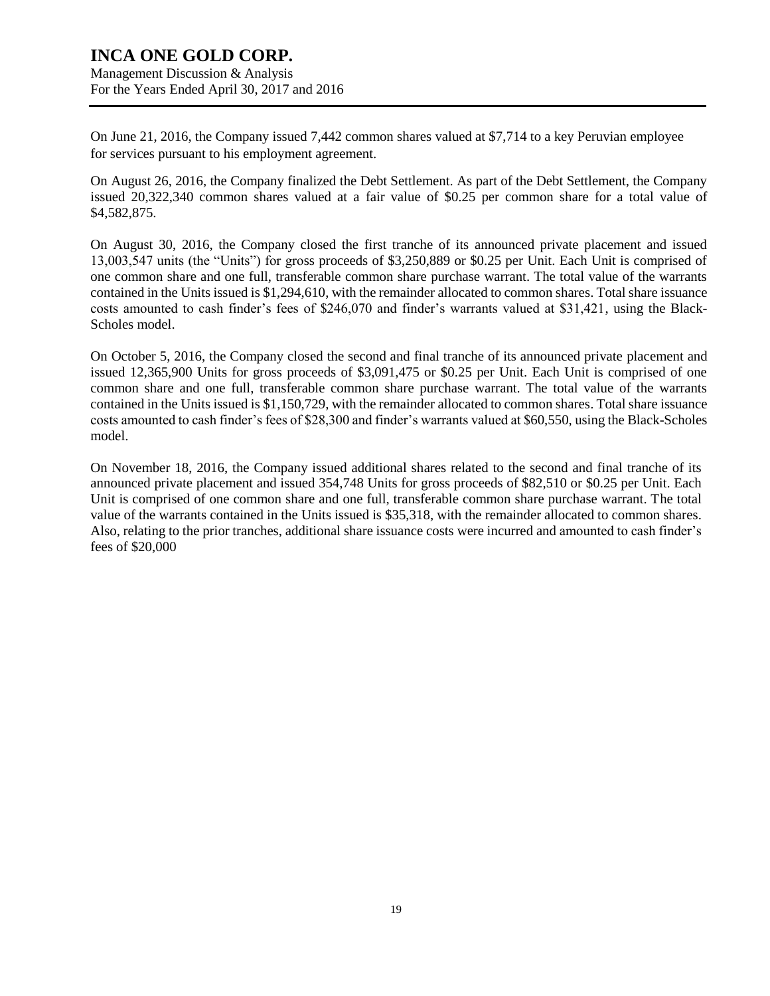Management Discussion & Analysis For the Years Ended April 30, 2017 and 2016

On June 21, 2016, the Company issued 7,442 common shares valued at \$7,714 to a key Peruvian employee for services pursuant to his employment agreement.

On August 26, 2016, the Company finalized the Debt Settlement. As part of the Debt Settlement, the Company issued 20,322,340 common shares valued at a fair value of \$0.25 per common share for a total value of \$4,582,875.

On August 30, 2016, the Company closed the first tranche of its announced private placement and issued 13,003,547 units (the "Units") for gross proceeds of \$3,250,889 or \$0.25 per Unit. Each Unit is comprised of one common share and one full, transferable common share purchase warrant. The total value of the warrants contained in the Units issued is \$1,294,610, with the remainder allocated to common shares. Total share issuance costs amounted to cash finder's fees of \$246,070 and finder's warrants valued at \$31,421, using the Black-Scholes model.

On October 5, 2016, the Company closed the second and final tranche of its announced private placement and issued 12,365,900 Units for gross proceeds of \$3,091,475 or \$0.25 per Unit. Each Unit is comprised of one common share and one full, transferable common share purchase warrant. The total value of the warrants contained in the Units issued is \$1,150,729, with the remainder allocated to common shares. Total share issuance costs amounted to cash finder's fees of \$28,300 and finder's warrants valued at \$60,550, using the Black-Scholes model.

On November 18, 2016, the Company issued additional shares related to the second and final tranche of its announced private placement and issued 354,748 Units for gross proceeds of \$82,510 or \$0.25 per Unit. Each Unit is comprised of one common share and one full, transferable common share purchase warrant. The total value of the warrants contained in the Units issued is \$35,318, with the remainder allocated to common shares. Also, relating to the prior tranches, additional share issuance costs were incurred and amounted to cash finder's fees of \$20,000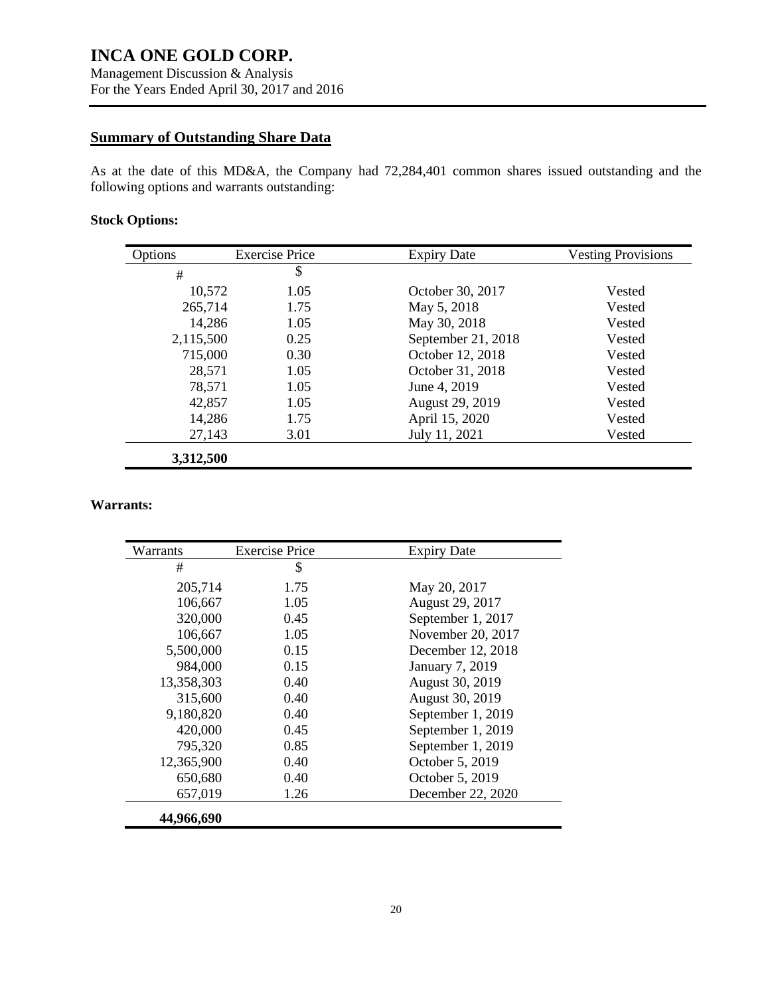### **Summary of Outstanding Share Data**

As at the date of this MD&A, the Company had 72,284,401 common shares issued outstanding and the following options and warrants outstanding:

### **Stock Options:**

| Options   | <b>Exercise Price</b> | <b>Expiry Date</b> | <b>Vesting Provisions</b> |
|-----------|-----------------------|--------------------|---------------------------|
| #         | \$                    |                    |                           |
| 10,572    | 1.05                  | October 30, 2017   | Vested                    |
| 265,714   | 1.75                  | May 5, 2018        | Vested                    |
| 14,286    | 1.05                  | May 30, 2018       | Vested                    |
| 2,115,500 | 0.25                  | September 21, 2018 | Vested                    |
| 715,000   | 0.30                  | October 12, 2018   | Vested                    |
| 28,571    | 1.05                  | October 31, 2018   | Vested                    |
| 78,571    | 1.05                  | June 4, 2019       | Vested                    |
| 42,857    | 1.05                  | August 29, 2019    | Vested                    |
| 14,286    | 1.75                  | April 15, 2020     | Vested                    |
| 27,143    | 3.01                  | July 11, 2021      | Vested                    |
| 3,312,500 |                       |                    |                           |

#### **Warrants:**

| Warrants   | <b>Exercise Price</b> | <b>Expiry Date</b> |
|------------|-----------------------|--------------------|
| #          | \$                    |                    |
| 205,714    | 1.75                  | May 20, 2017       |
| 106,667    | 1.05                  | August 29, 2017    |
| 320,000    | 0.45                  | September 1, 2017  |
| 106,667    | 1.05                  | November 20, 2017  |
| 5,500,000  | 0.15                  | December 12, 2018  |
| 984,000    | 0.15                  | January 7, 2019    |
| 13,358,303 | 0.40                  | August 30, 2019    |
| 315,600    | 0.40                  | August 30, 2019    |
| 9,180,820  | 0.40                  | September 1, 2019  |
| 420,000    | 0.45                  | September 1, 2019  |
| 795,320    | 0.85                  | September 1, 2019  |
| 12,365,900 | 0.40                  | October 5, 2019    |
| 650,680    | 0.40                  | October 5, 2019    |
| 657,019    | 1.26                  | December 22, 2020  |
| 44,966,690 |                       |                    |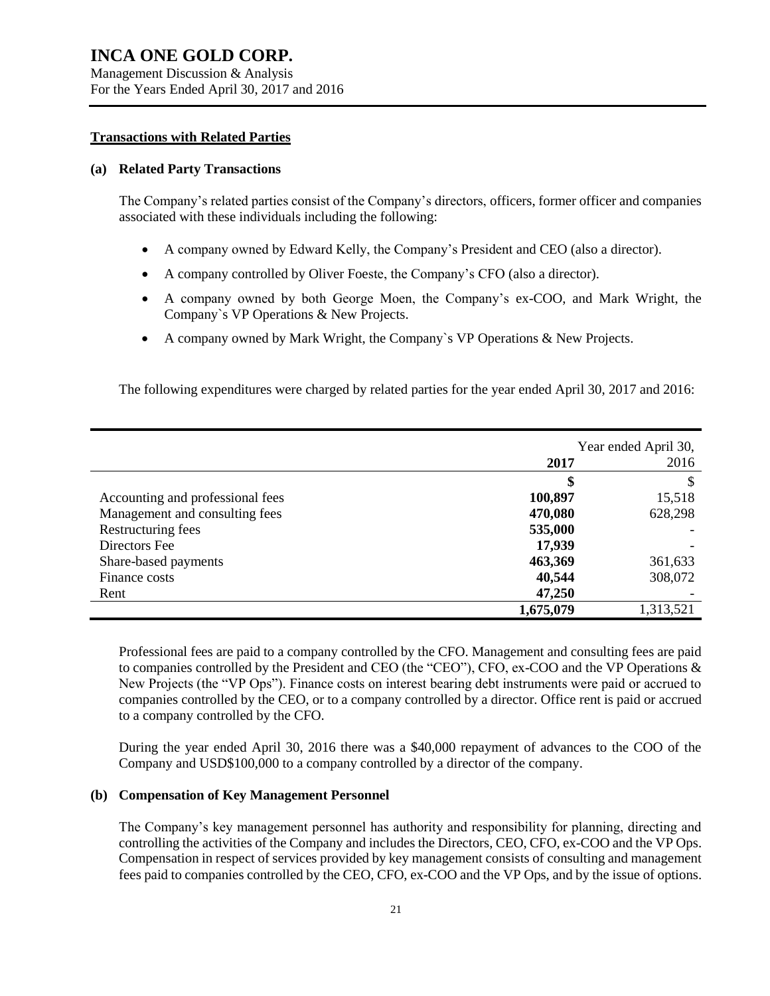#### **Transactions with Related Parties**

#### **(a) Related Party Transactions**

The Company's related parties consist of the Company's directors, officers, former officer and companies associated with these individuals including the following:

- A company owned by Edward Kelly, the Company's President and CEO (also a director).
- A company controlled by Oliver Foeste, the Company's CFO (also a director).
- A company owned by both George Moen, the Company's ex-COO, and Mark Wright, the Company`s VP Operations & New Projects.
- A company owned by Mark Wright, the Company`s VP Operations & New Projects.

The following expenditures were charged by related parties for the year ended April 30, 2017 and 2016:

|                                  | Year ended April 30, |           |
|----------------------------------|----------------------|-----------|
|                                  | 2017                 | 2016      |
|                                  | \$                   |           |
| Accounting and professional fees | 100,897              | 15,518    |
| Management and consulting fees   | 470,080              | 628,298   |
| Restructuring fees               | 535,000              |           |
| Directors Fee                    | 17,939               |           |
| Share-based payments             | 463,369              | 361,633   |
| Finance costs                    | 40,544               | 308,072   |
| Rent                             | 47,250               |           |
|                                  | 1,675,079            | 1,313,521 |

Professional fees are paid to a company controlled by the CFO. Management and consulting fees are paid to companies controlled by the President and CEO (the "CEO"), CFO, ex-COO and the VP Operations & New Projects (the "VP Ops"). Finance costs on interest bearing debt instruments were paid or accrued to companies controlled by the CEO, or to a company controlled by a director. Office rent is paid or accrued to a company controlled by the CFO.

During the year ended April 30, 2016 there was a \$40,000 repayment of advances to the COO of the Company and USD\$100,000 to a company controlled by a director of the company.

### **(b) Compensation of Key Management Personnel**

The Company's key management personnel has authority and responsibility for planning, directing and controlling the activities of the Company and includes the Directors, CEO, CFO, ex-COO and the VP Ops. Compensation in respect of services provided by key management consists of consulting and management fees paid to companies controlled by the CEO, CFO, ex-COO and the VP Ops, and by the issue of options.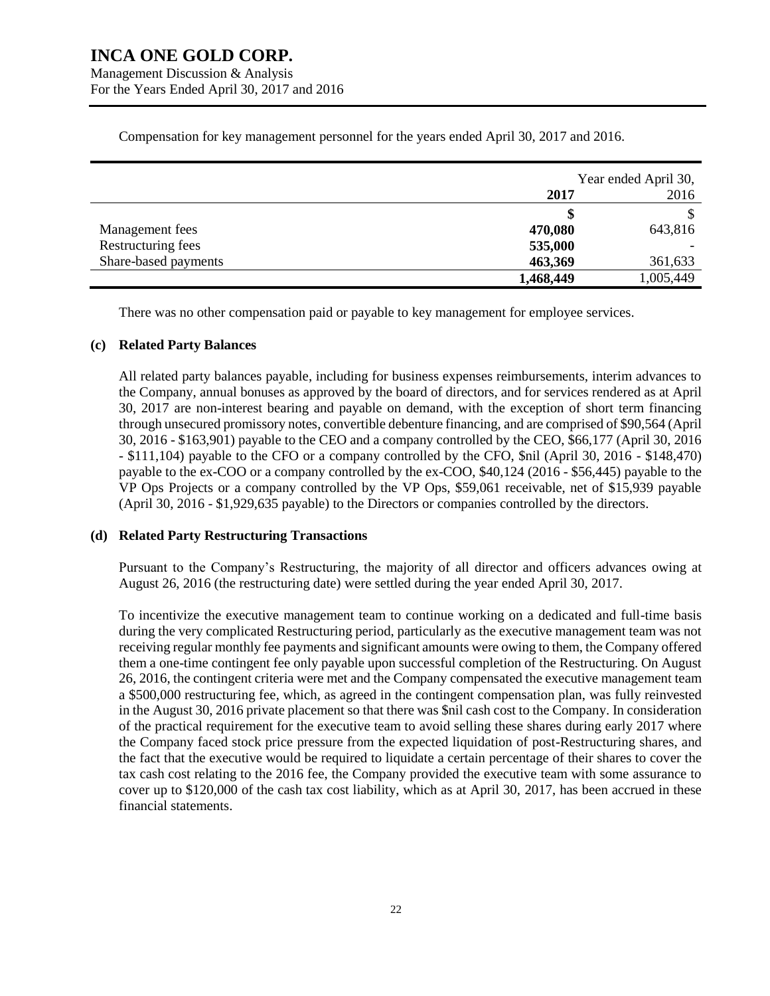Management Discussion & Analysis For the Years Ended April 30, 2017 and 2016

|                      | Year ended April 30, |           |
|----------------------|----------------------|-----------|
|                      | 2017                 | 2016      |
|                      | \$                   |           |
| Management fees      | 470,080              | 643,816   |
| Restructuring fees   | 535,000              |           |
| Share-based payments | 463,369              | 361,633   |
|                      | 1,468,449            | 1,005,449 |

Compensation for key management personnel for the years ended April 30, 2017 and 2016.

There was no other compensation paid or payable to key management for employee services.

#### **(c) Related Party Balances**

All related party balances payable, including for business expenses reimbursements, interim advances to the Company, annual bonuses as approved by the board of directors, and for services rendered as at April 30, 2017 are non-interest bearing and payable on demand, with the exception of short term financing through unsecured promissory notes, convertible debenture financing, and are comprised of \$90,564 (April 30, 2016 - \$163,901) payable to the CEO and a company controlled by the CEO, \$66,177 (April 30, 2016 - \$111,104) payable to the CFO or a company controlled by the CFO, \$nil (April 30, 2016 - \$148,470) payable to the ex-COO or a company controlled by the ex-COO, \$40,124 (2016 - \$56,445) payable to the VP Ops Projects or a company controlled by the VP Ops, \$59,061 receivable, net of \$15,939 payable (April 30, 2016 - \$1,929,635 payable) to the Directors or companies controlled by the directors.

### **(d) Related Party Restructuring Transactions**

Pursuant to the Company's Restructuring, the majority of all director and officers advances owing at August 26, 2016 (the restructuring date) were settled during the year ended April 30, 2017.

To incentivize the executive management team to continue working on a dedicated and full-time basis during the very complicated Restructuring period, particularly as the executive management team was not receiving regular monthly fee payments and significant amounts were owing to them, the Company offered them a one-time contingent fee only payable upon successful completion of the Restructuring. On August 26, 2016, the contingent criteria were met and the Company compensated the executive management team a \$500,000 restructuring fee, which, as agreed in the contingent compensation plan, was fully reinvested in the August 30, 2016 private placement so that there was \$nil cash cost to the Company. In consideration of the practical requirement for the executive team to avoid selling these shares during early 2017 where the Company faced stock price pressure from the expected liquidation of post-Restructuring shares, and the fact that the executive would be required to liquidate a certain percentage of their shares to cover the tax cash cost relating to the 2016 fee, the Company provided the executive team with some assurance to cover up to \$120,000 of the cash tax cost liability, which as at April 30, 2017, has been accrued in these financial statements.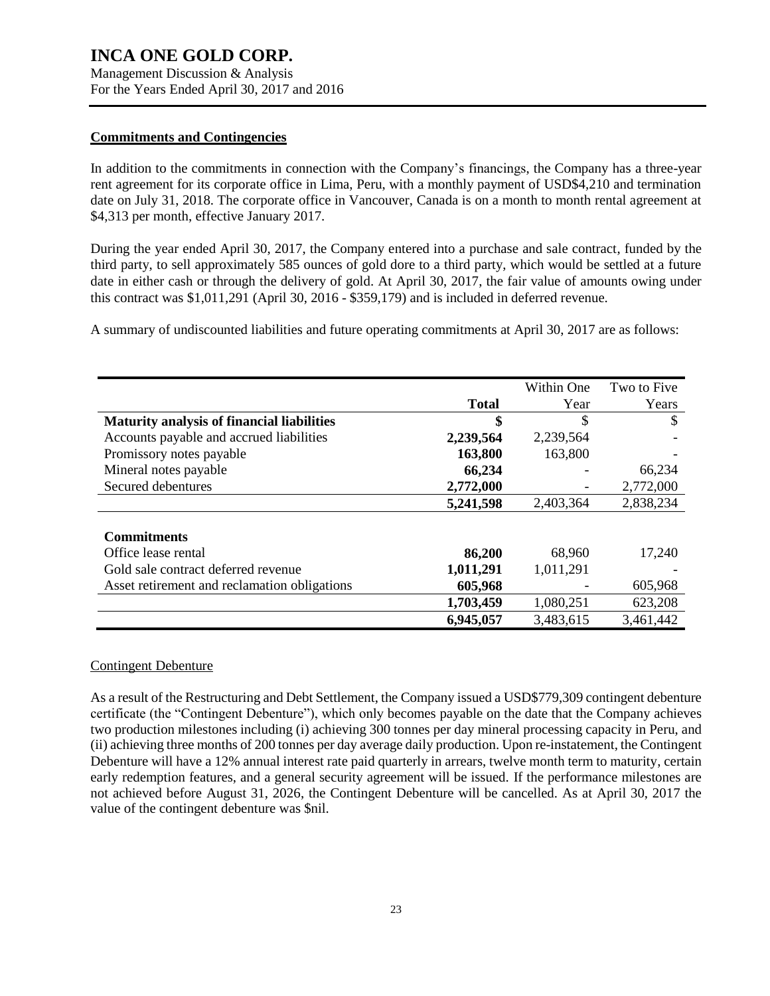Management Discussion & Analysis For the Years Ended April 30, 2017 and 2016

### **Commitments and Contingencies**

In addition to the commitments in connection with the Company's financings, the Company has a three-year rent agreement for its corporate office in Lima, Peru, with a monthly payment of USD\$4,210 and termination date on July 31, 2018. The corporate office in Vancouver, Canada is on a month to month rental agreement at \$4,313 per month, effective January 2017.

During the year ended April 30, 2017, the Company entered into a purchase and sale contract, funded by the third party, to sell approximately 585 ounces of gold dore to a third party, which would be settled at a future date in either cash or through the delivery of gold. At April 30, 2017, the fair value of amounts owing under this contract was \$1,011,291 (April 30, 2016 - \$359,179) and is included in deferred revenue.

A summary of undiscounted liabilities and future operating commitments at April 30, 2017 are as follows:

|                                                   |              | Within One | Two to Five |
|---------------------------------------------------|--------------|------------|-------------|
|                                                   | <b>Total</b> | Year       | Years       |
| <b>Maturity analysis of financial liabilities</b> | \$           | S          | S           |
| Accounts payable and accrued liabilities          | 2,239,564    | 2,239,564  |             |
| Promissory notes payable                          | 163,800      | 163,800    |             |
| Mineral notes payable                             | 66,234       |            | 66,234      |
| Secured debentures                                | 2,772,000    |            | 2,772,000   |
|                                                   | 5,241,598    | 2,403,364  | 2,838,234   |
|                                                   |              |            |             |
| <b>Commitments</b>                                |              |            |             |
| Office lease rental                               | 86,200       | 68,960     | 17,240      |
| Gold sale contract deferred revenue               | 1,011,291    | 1,011,291  |             |
| Asset retirement and reclamation obligations      | 605,968      |            | 605,968     |
|                                                   | 1,703,459    | 1,080,251  | 623,208     |
|                                                   | 6,945,057    | 3,483,615  | 3,461,442   |

### Contingent Debenture

As a result of the Restructuring and Debt Settlement, the Company issued a USD\$779,309 contingent debenture certificate (the "Contingent Debenture"), which only becomes payable on the date that the Company achieves two production milestones including (i) achieving 300 tonnes per day mineral processing capacity in Peru, and (ii) achieving three months of 200 tonnes per day average daily production. Upon re-instatement, the Contingent Debenture will have a 12% annual interest rate paid quarterly in arrears, twelve month term to maturity, certain early redemption features, and a general security agreement will be issued. If the performance milestones are not achieved before August 31, 2026, the Contingent Debenture will be cancelled. As at April 30, 2017 the value of the contingent debenture was \$nil.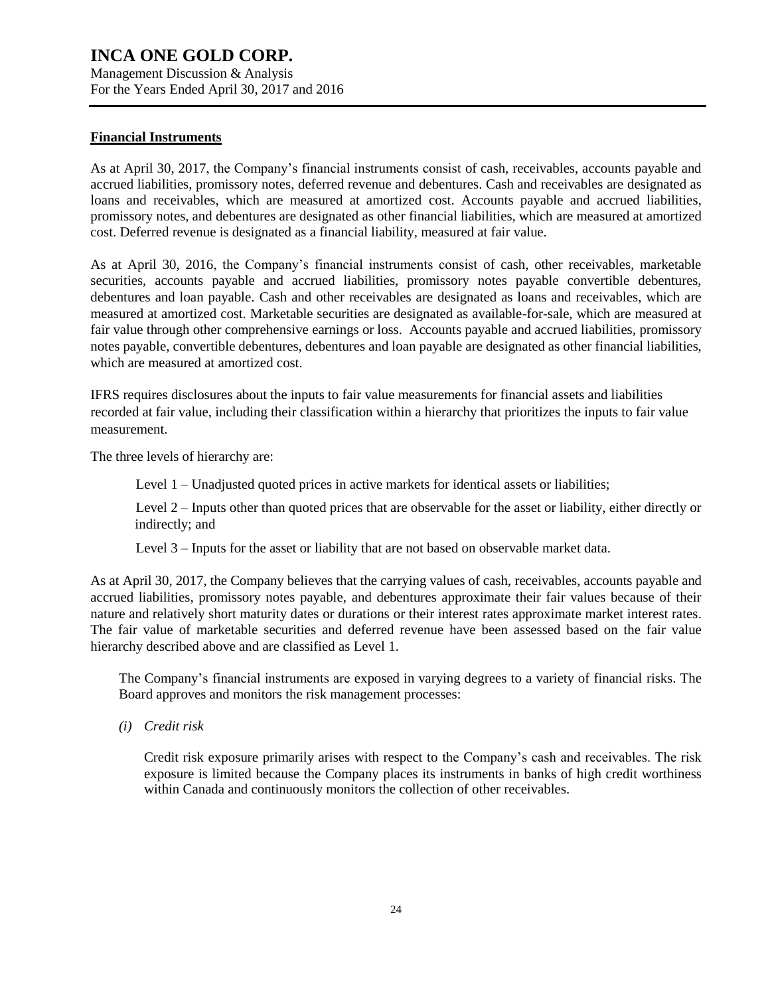Management Discussion & Analysis For the Years Ended April 30, 2017 and 2016

#### **Financial Instruments**

As at April 30, 2017, the Company's financial instruments consist of cash, receivables, accounts payable and accrued liabilities, promissory notes, deferred revenue and debentures. Cash and receivables are designated as loans and receivables, which are measured at amortized cost. Accounts payable and accrued liabilities, promissory notes, and debentures are designated as other financial liabilities, which are measured at amortized cost. Deferred revenue is designated as a financial liability, measured at fair value.

As at April 30, 2016, the Company's financial instruments consist of cash, other receivables, marketable securities, accounts payable and accrued liabilities, promissory notes payable convertible debentures, debentures and loan payable. Cash and other receivables are designated as loans and receivables, which are measured at amortized cost. Marketable securities are designated as available-for-sale, which are measured at fair value through other comprehensive earnings or loss. Accounts payable and accrued liabilities, promissory notes payable, convertible debentures, debentures and loan payable are designated as other financial liabilities, which are measured at amortized cost.

IFRS requires disclosures about the inputs to fair value measurements for financial assets and liabilities recorded at fair value, including their classification within a hierarchy that prioritizes the inputs to fair value measurement.

The three levels of hierarchy are:

Level 1 – Unadjusted quoted prices in active markets for identical assets or liabilities;

Level 2 – Inputs other than quoted prices that are observable for the asset or liability, either directly or indirectly; and

Level 3 – Inputs for the asset or liability that are not based on observable market data.

As at April 30, 2017, the Company believes that the carrying values of cash, receivables, accounts payable and accrued liabilities, promissory notes payable, and debentures approximate their fair values because of their nature and relatively short maturity dates or durations or their interest rates approximate market interest rates. The fair value of marketable securities and deferred revenue have been assessed based on the fair value hierarchy described above and are classified as Level 1.

The Company's financial instruments are exposed in varying degrees to a variety of financial risks. The Board approves and monitors the risk management processes:

*(i) Credit risk*

Credit risk exposure primarily arises with respect to the Company's cash and receivables. The risk exposure is limited because the Company places its instruments in banks of high credit worthiness within Canada and continuously monitors the collection of other receivables.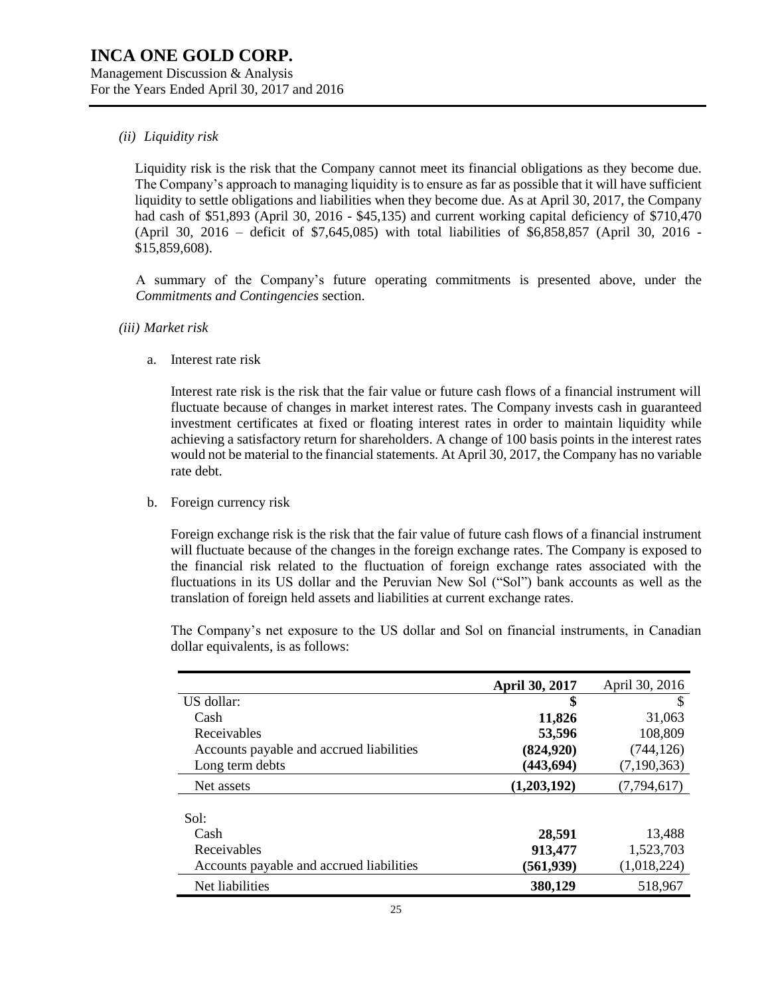### *(ii) Liquidity risk*

Liquidity risk is the risk that the Company cannot meet its financial obligations as they become due. The Company's approach to managing liquidity is to ensure as far as possible that it will have sufficient liquidity to settle obligations and liabilities when they become due. As at April 30, 2017, the Company had cash of \$51,893 (April 30, 2016 - \$45,135) and current working capital deficiency of \$710,470 (April 30, 2016 – deficit of \$7,645,085) with total liabilities of \$6,858,857 (April 30, 2016 - \$15,859,608).

A summary of the Company's future operating commitments is presented above, under the *Commitments and Contingencies* section.

*(iii) Market risk*

a. Interest rate risk

Interest rate risk is the risk that the fair value or future cash flows of a financial instrument will fluctuate because of changes in market interest rates. The Company invests cash in guaranteed investment certificates at fixed or floating interest rates in order to maintain liquidity while achieving a satisfactory return for shareholders. A change of 100 basis points in the interest rates would not be material to the financial statements. At April 30, 2017, the Company has no variable rate debt.

b. Foreign currency risk

Foreign exchange risk is the risk that the fair value of future cash flows of a financial instrument will fluctuate because of the changes in the foreign exchange rates. The Company is exposed to the financial risk related to the fluctuation of foreign exchange rates associated with the fluctuations in its US dollar and the Peruvian New Sol ("Sol") bank accounts as well as the translation of foreign held assets and liabilities at current exchange rates.

The Company's net exposure to the US dollar and Sol on financial instruments, in Canadian dollar equivalents, is as follows:

|                                          | <b>April 30, 2017</b> | April 30, 2016 |
|------------------------------------------|-----------------------|----------------|
| US dollar:                               | \$                    | S              |
| Cash                                     | 11,826                | 31,063         |
| Receivables                              | 53,596                | 108,809        |
| Accounts payable and accrued liabilities | (824, 920)            | (744, 126)     |
| Long term debts                          | (443, 694)            | (7, 190, 363)  |
| Net assets                               | (1,203,192)           | (7, 794, 617)  |
|                                          |                       |                |
| Sol:                                     |                       |                |
| Cash                                     | 28,591                | 13.488         |
| Receivables                              | 913,477               | 1,523,703      |
| Accounts payable and accrued liabilities | (561, 939)            | (1,018,224)    |
| Net liabilities                          | 380,129               | 518,967        |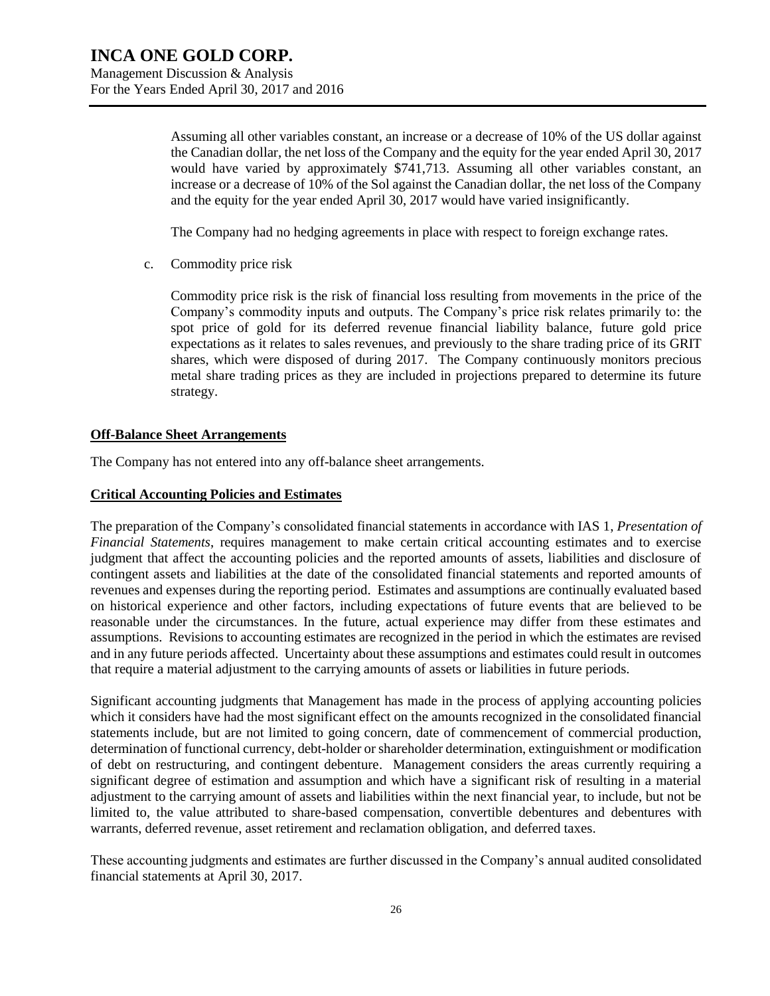Assuming all other variables constant, an increase or a decrease of 10% of the US dollar against the Canadian dollar, the net loss of the Company and the equity for the year ended April 30, 2017 would have varied by approximately \$741,713. Assuming all other variables constant, an increase or a decrease of 10% of the Sol against the Canadian dollar, the net loss of the Company and the equity for the year ended April 30, 2017 would have varied insignificantly.

The Company had no hedging agreements in place with respect to foreign exchange rates.

c. Commodity price risk

Commodity price risk is the risk of financial loss resulting from movements in the price of the Company's commodity inputs and outputs. The Company's price risk relates primarily to: the spot price of gold for its deferred revenue financial liability balance, future gold price expectations as it relates to sales revenues, and previously to the share trading price of its GRIT shares, which were disposed of during 2017. The Company continuously monitors precious metal share trading prices as they are included in projections prepared to determine its future strategy.

### **Off-Balance Sheet Arrangements**

The Company has not entered into any off-balance sheet arrangements.

#### **Critical Accounting Policies and Estimates**

The preparation of the Company's consolidated financial statements in accordance with IAS 1, *Presentation of Financial Statements*, requires management to make certain critical accounting estimates and to exercise judgment that affect the accounting policies and the reported amounts of assets, liabilities and disclosure of contingent assets and liabilities at the date of the consolidated financial statements and reported amounts of revenues and expenses during the reporting period. Estimates and assumptions are continually evaluated based on historical experience and other factors, including expectations of future events that are believed to be reasonable under the circumstances. In the future, actual experience may differ from these estimates and assumptions. Revisions to accounting estimates are recognized in the period in which the estimates are revised and in any future periods affected. Uncertainty about these assumptions and estimates could result in outcomes that require a material adjustment to the carrying amounts of assets or liabilities in future periods.

Significant accounting judgments that Management has made in the process of applying accounting policies which it considers have had the most significant effect on the amounts recognized in the consolidated financial statements include, but are not limited to going concern, date of commencement of commercial production, determination of functional currency, debt-holder or shareholder determination, extinguishment or modification of debt on restructuring, and contingent debenture. Management considers the areas currently requiring a significant degree of estimation and assumption and which have a significant risk of resulting in a material adjustment to the carrying amount of assets and liabilities within the next financial year, to include, but not be limited to, the value attributed to share-based compensation, convertible debentures and debentures with warrants, deferred revenue, asset retirement and reclamation obligation, and deferred taxes.

These accounting judgments and estimates are further discussed in the Company's annual audited consolidated financial statements at April 30, 2017.